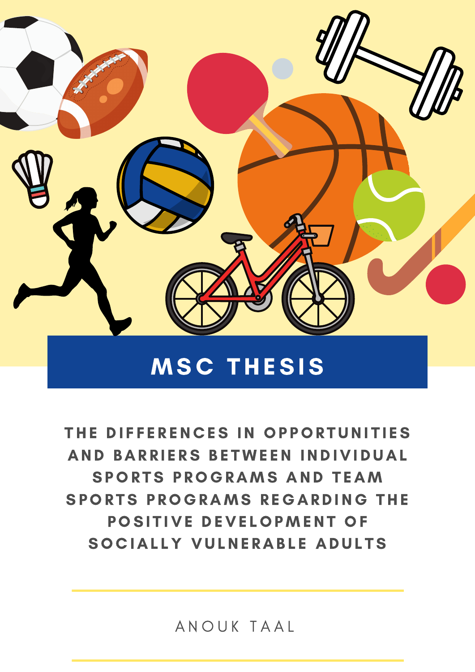

# **MSC THESIS**

THE DIFFERENCES IN OPPORTUNITIES AND BARRIERS BETWEEN INDIVIDUAL SPORTS PROGRAMS AND TEAM SPORTS PROGRAMS REGARDING THE POSITIVE DEVELOPMENT OF SOCIALLY VULNERABLE ADULTS

A N O U K T A A L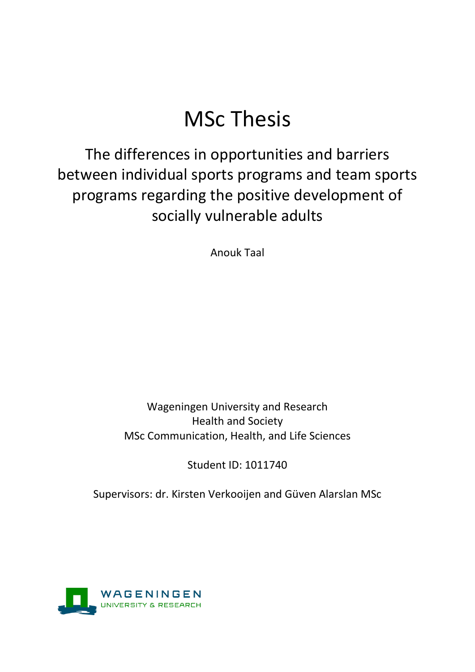# MSc Thesis

The differences in opportunities and barriers between individual sports programs and team sports programs regarding the positive development of socially vulnerable adults

Anouk Taal

# Wageningen University and Research Health and Society MSc Communication, Health, and Life Sciences

Student ID: 1011740

<span id="page-1-0"></span>Supervisors: dr. Kirsten Verkooijen and Güven Alarslan MSc

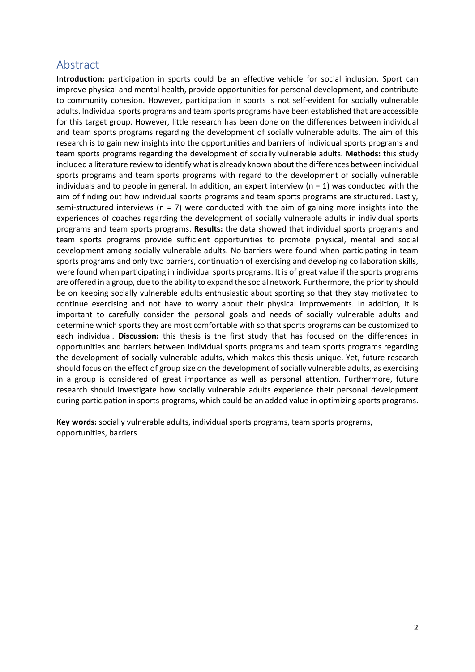# Abstract

**Introduction:** participation in sports could be an effective vehicle for social inclusion. Sport can improve physical and mental health, provide opportunities for personal development, and contribute to community cohesion. However, participation in sports is not self-evident for socially vulnerable adults. Individual sports programs and team sports programs have been established that are accessible for this target group. However, little research has been done on the differences between individual and team sports programs regarding the development of socially vulnerable adults. The aim of this research is to gain new insights into the opportunities and barriers of individual sports programs and team sports programs regarding the development of socially vulnerable adults. **Methods:** this study included a literature review to identify what is already known about the differences between individual sports programs and team sports programs with regard to the development of socially vulnerable individuals and to people in general. In addition, an expert interview ( $n = 1$ ) was conducted with the aim of finding out how individual sports programs and team sports programs are structured. Lastly, semi-structured interviews ( $n = 7$ ) were conducted with the aim of gaining more insights into the experiences of coaches regarding the development of socially vulnerable adults in individual sports programs and team sports programs. **Results:** the data showed that individual sports programs and team sports programs provide sufficient opportunities to promote physical, mental and social development among socially vulnerable adults. No barriers were found when participating in team sports programs and only two barriers, continuation of exercising and developing collaboration skills, were found when participating in individual sports programs. It is of great value if the sports programs are offered in a group, due to the ability to expand the social network. Furthermore, the priority should be on keeping socially vulnerable adults enthusiastic about sporting so that they stay motivated to continue exercising and not have to worry about their physical improvements. In addition, it is important to carefully consider the personal goals and needs of socially vulnerable adults and determine which sports they are most comfortable with so that sports programs can be customized to each individual. **Discussion:** this thesis is the first study that has focused on the differences in opportunities and barriers between individual sports programs and team sports programs regarding the development of socially vulnerable adults, which makes this thesis unique. Yet, future research should focus on the effect of group size on the development of socially vulnerable adults, as exercising in a group is considered of great importance as well as personal attention. Furthermore, future research should investigate how socially vulnerable adults experience their personal development during participation in sports programs, which could be an added value in optimizing sports programs.

**Key words:** socially vulnerable adults, individual sports programs, team sports programs, opportunities, barriers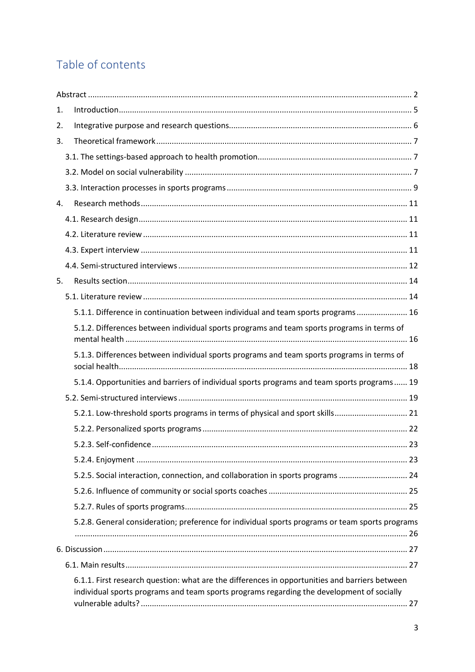# Table of contents

| 1. |                                                                                                                                                                                             |
|----|---------------------------------------------------------------------------------------------------------------------------------------------------------------------------------------------|
| 2. |                                                                                                                                                                                             |
| 3. |                                                                                                                                                                                             |
|    |                                                                                                                                                                                             |
|    |                                                                                                                                                                                             |
|    |                                                                                                                                                                                             |
| 4. |                                                                                                                                                                                             |
|    |                                                                                                                                                                                             |
|    |                                                                                                                                                                                             |
|    |                                                                                                                                                                                             |
|    |                                                                                                                                                                                             |
| 5. |                                                                                                                                                                                             |
|    |                                                                                                                                                                                             |
|    | 5.1.1. Difference in continuation between individual and team sports programs 16                                                                                                            |
|    | 5.1.2. Differences between individual sports programs and team sports programs in terms of                                                                                                  |
|    | 5.1.3. Differences between individual sports programs and team sports programs in terms of                                                                                                  |
|    | 5.1.4. Opportunities and barriers of individual sports programs and team sports programs 19                                                                                                 |
|    |                                                                                                                                                                                             |
|    | 5.2.1. Low-threshold sports programs in terms of physical and sport skills 21                                                                                                               |
|    |                                                                                                                                                                                             |
|    | 23                                                                                                                                                                                          |
|    |                                                                                                                                                                                             |
|    | 5.2.5. Social interaction, connection, and collaboration in sports programs  24                                                                                                             |
|    |                                                                                                                                                                                             |
|    |                                                                                                                                                                                             |
|    | 5.2.8. General consideration; preference for individual sports programs or team sports programs                                                                                             |
|    |                                                                                                                                                                                             |
|    |                                                                                                                                                                                             |
|    | 6.1.1. First research question: what are the differences in opportunities and barriers between<br>individual sports programs and team sports programs regarding the development of socially |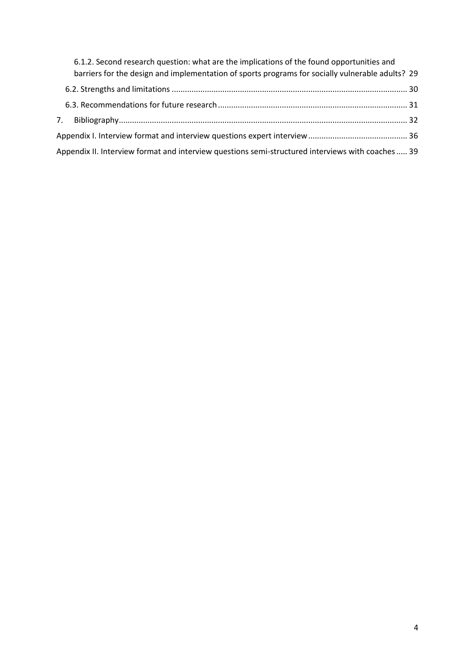| 6.1.2. Second research question: what are the implications of the found opportunities and         |  |
|---------------------------------------------------------------------------------------------------|--|
| barriers for the design and implementation of sports programs for socially vulnerable adults? 29  |  |
|                                                                                                   |  |
|                                                                                                   |  |
|                                                                                                   |  |
|                                                                                                   |  |
| Appendix II. Interview format and interview questions semi-structured interviews with coaches  39 |  |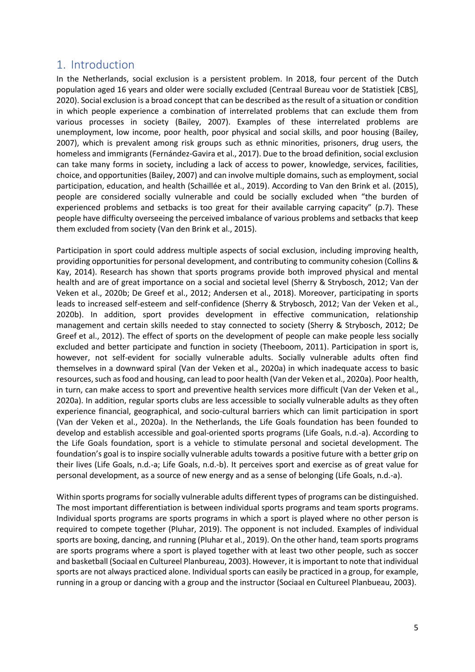## <span id="page-5-0"></span>1. Introduction

In the Netherlands, social exclusion is a persistent problem. In 2018, four percent of the Dutch population aged 16 years and older were socially excluded (Centraal Bureau voor de Statistiek [CBS], 2020). Social exclusion is a broad concept that can be described as the result of a situation or condition in which people experience a combination of interrelated problems that can exclude them from various processes in society (Bailey, 2007). Examples of these interrelated problems are unemployment, low income, poor health, poor physical and social skills, and poor housing (Bailey, 2007), which is prevalent among risk groups such as ethnic minorities, prisoners, drug users, the homeless and immigrants (Fernández-Gavira et al., 2017). Due to the broad definition, social exclusion can take many forms in society, including a lack of access to power, knowledge, services, facilities, choice, and opportunities (Bailey, 2007) and can involve multiple domains, such as employment, social participation, education, and health (Schaillée et al., 2019). According to Van den Brink et al. (2015), people are considered socially vulnerable and could be socially excluded when "the burden of experienced problems and setbacks is too great for their available carrying capacity" (p.7). These people have difficulty overseeing the perceived imbalance of various problems and setbacks that keep them excluded from society (Van den Brink et al., 2015).

Participation in sport could address multiple aspects of social exclusion, including improving health, providing opportunities for personal development, and contributing to community cohesion (Collins & Kay, 2014). Research has shown that sports programs provide both improved physical and mental health and are of great importance on a social and societal level (Sherry & Strybosch, 2012; Van der Veken et al., 2020b; De Greef et al., 2012; Andersen et al., 2018). Moreover, participating in sports leads to increased self-esteem and self-confidence (Sherry & Strybosch, 2012; Van der Veken et al., 2020b). In addition, sport provides development in effective communication, relationship management and certain skills needed to stay connected to society (Sherry & Strybosch, 2012; De Greef et al., 2012). The effect of sports on the development of people can make people less socially excluded and better participate and function in society (Theeboom, 2011). Participation in sport is, however, not self-evident for socially vulnerable adults. Socially vulnerable adults often find themselves in a downward spiral (Van der Veken et al., 2020a) in which inadequate access to basic resources, such as food and housing, can lead to poor health (Van der Veken et al., 2020a). Poor health, in turn, can make access to sport and preventive health services more difficult (Van der Veken et al., 2020a). In addition, regular sports clubs are less accessible to socially vulnerable adults as they often experience financial, geographical, and socio-cultural barriers which can limit participation in sport (Van der Veken et al., 2020a). In the Netherlands, the Life Goals foundation has been founded to develop and establish accessible and goal-oriented sports programs (Life Goals, n.d.-a). According to the Life Goals foundation, sport is a vehicle to stimulate personal and societal development. The foundation's goal is to inspire socially vulnerable adults towards a positive future with a better grip on their lives (Life Goals, n.d.-a; Life Goals, n.d.-b). It perceives sport and exercise as of great value for personal development, as a source of new energy and as a sense of belonging (Life Goals, n.d.-a).

Within sports programs for socially vulnerable adults different types of programs can be distinguished. The most important differentiation is between individual sports programs and team sports programs. Individual sports programs are sports programs in which a sport is played where no other person is required to compete together (Pluhar, 2019). The opponent is not included. Examples of individual sports are boxing, dancing, and running (Pluhar et al., 2019). On the other hand, team sports programs are sports programs where a sport is played together with at least two other people, such as soccer and basketball (Sociaal en Cultureel Planbureau, 2003). However, it is important to note that individual sports are not always practiced alone. Individual sports can easily be practiced in a group, for example, running in a group or dancing with a group and the instructor (Sociaal en Cultureel Planbueau, 2003).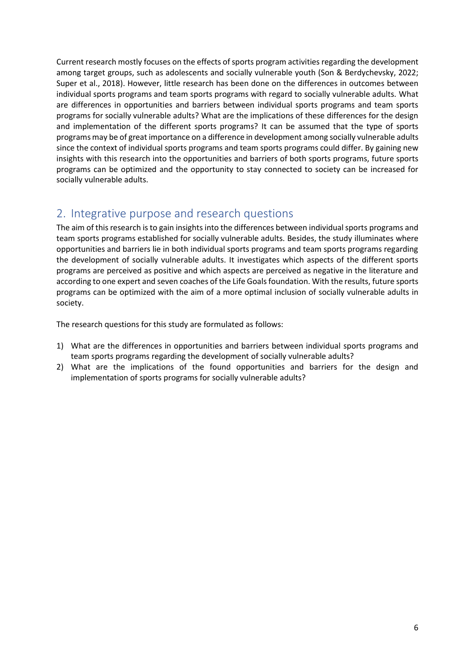Current research mostly focuses on the effects of sports program activities regarding the development among target groups, such as adolescents and socially vulnerable youth (Son & Berdychevsky, 2022; Super et al., 2018). However, little research has been done on the differences in outcomes between individual sports programs and team sports programs with regard to socially vulnerable adults. What are differences in opportunities and barriers between individual sports programs and team sports programs for socially vulnerable adults? What are the implications of these differences for the design and implementation of the different sports programs? It can be assumed that the type of sports programs may be of great importance on a difference in development among socially vulnerable adults since the context of individual sports programs and team sports programs could differ. By gaining new insights with this research into the opportunities and barriers of both sports programs, future sports programs can be optimized and the opportunity to stay connected to society can be increased for socially vulnerable adults.

# <span id="page-6-0"></span>2. Integrative purpose and research questions

The aim of this research is to gain insights into the differences between individual sports programs and team sports programs established for socially vulnerable adults. Besides, the study illuminates where opportunities and barriers lie in both individual sports programs and team sports programs regarding the development of socially vulnerable adults. It investigates which aspects of the different sports programs are perceived as positive and which aspects are perceived as negative in the literature and according to one expert and seven coaches of the Life Goals foundation. With the results, future sports programs can be optimized with the aim of a more optimal inclusion of socially vulnerable adults in society.

The research questions for this study are formulated as follows:

- 1) What are the differences in opportunities and barriers between individual sports programs and team sports programs regarding the development of socially vulnerable adults?
- 2) What are the implications of the found opportunities and barriers for the design and implementation of sports programs for socially vulnerable adults?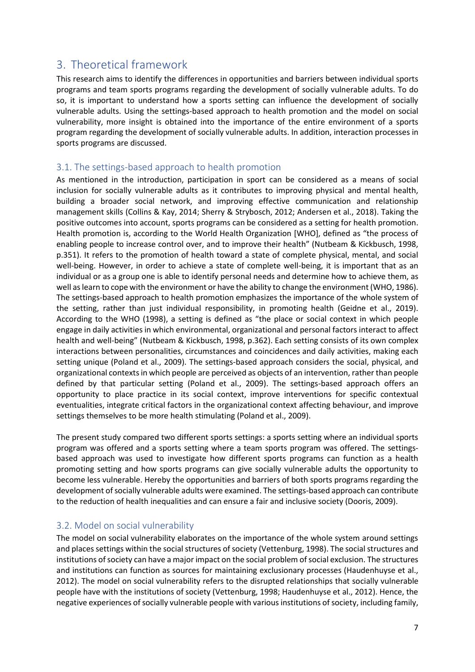# <span id="page-7-0"></span>3. Theoretical framework

This research aims to identify the differences in opportunities and barriers between individual sports programs and team sports programs regarding the development of socially vulnerable adults. To do so, it is important to understand how a sports setting can influence the development of socially vulnerable adults. Using the settings-based approach to health promotion and the model on social vulnerability, more insight is obtained into the importance of the entire environment of a sports program regarding the development of socially vulnerable adults. In addition, interaction processes in sports programs are discussed.

#### <span id="page-7-1"></span>3.1. The settings-based approach to health promotion

As mentioned in the introduction, participation in sport can be considered as a means of social inclusion for socially vulnerable adults as it contributes to improving physical and mental health, building a broader social network, and improving effective communication and relationship management skills (Collins & Kay, 2014; Sherry & Strybosch, 2012; Andersen et al., 2018). Taking the positive outcomes into account, sports programs can be considered as a setting for health promotion. Health promotion is, according to the World Health Organization [WHO], defined as "the process of enabling people to increase control over, and to improve their health" (Nutbeam & Kickbusch, 1998, p.351). It refers to the promotion of health toward a state of complete physical, mental, and social well-being. However, in order to achieve a state of complete well-being, it is important that as an individual or as a group one is able to identify personal needs and determine how to achieve them, as well as learn to cope with the environment or have the ability to change the environment (WHO, 1986). The settings-based approach to health promotion emphasizes the importance of the whole system of the setting, rather than just individual responsibility, in promoting health (Geidne et al., 2019). According to the WHO (1998), a setting is defined as "the place or social context in which people engage in daily activities in which environmental, organizational and personal factors interact to affect health and well-being" (Nutbeam & Kickbusch, 1998, p.362). Each setting consists of its own complex interactions between personalities, circumstances and coincidences and daily activities, making each setting unique (Poland et al., 2009). The settings-based approach considers the social, physical, and organizational contexts in which people are perceived as objects of an intervention, rather than people defined by that particular setting (Poland et al., 2009). The settings-based approach offers an opportunity to place practice in its social context, improve interventions for specific contextual eventualities, integrate critical factors in the organizational context affecting behaviour, and improve settings themselves to be more health stimulating (Poland et al., 2009).

The present study compared two different sports settings: a sports setting where an individual sports program was offered and a sports setting where a team sports program was offered. The settingsbased approach was used to investigate how different sports programs can function as a health promoting setting and how sports programs can give socially vulnerable adults the opportunity to become less vulnerable. Hereby the opportunities and barriers of both sports programs regarding the development of socially vulnerable adults were examined. The settings-based approach can contribute to the reduction of health inequalities and can ensure a fair and inclusive society (Dooris, 2009).

#### <span id="page-7-2"></span>3.2. Model on social vulnerability

The model on social vulnerability elaborates on the importance of the whole system around settings and places settings within the social structures of society (Vettenburg, 1998). The social structures and institutions of society can have a major impact on the social problem of social exclusion. The structures and institutions can function as sources for maintaining exclusionary processes (Haudenhuyse et al., 2012). The model on social vulnerability refers to the disrupted relationships that socially vulnerable people have with the institutions of society (Vettenburg, 1998; Haudenhuyse et al., 2012). Hence, the negative experiences of socially vulnerable people with various institutions of society, including family,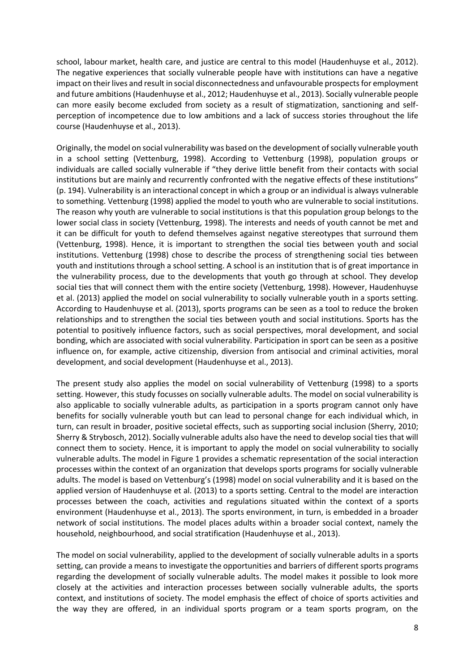school, labour market, health care, and justice are central to this model (Haudenhuyse et al., 2012). The negative experiences that socially vulnerable people have with institutions can have a negative impact on their lives and result in social disconnectedness and unfavourable prospects for employment and future ambitions (Haudenhuyse et al., 2012; Haudenhuyse et al., 2013). Socially vulnerable people can more easily become excluded from society as a result of stigmatization, sanctioning and selfperception of incompetence due to low ambitions and a lack of success stories throughout the life course (Haudenhuyse et al., 2013).

Originally, the model on social vulnerability was based on the development of socially vulnerable youth in a school setting (Vettenburg, 1998). According to Vettenburg (1998), population groups or individuals are called socially vulnerable if "they derive little benefit from their contacts with social institutions but are mainly and recurrently confronted with the negative effects of these institutions" (p. 194). Vulnerability is an interactional concept in which a group or an individual is always vulnerable to something. Vettenburg (1998) applied the model to youth who are vulnerable to social institutions. The reason why youth are vulnerable to social institutions is that this population group belongs to the lower social class in society (Vettenburg, 1998). The interests and needs of youth cannot be met and it can be difficult for youth to defend themselves against negative stereotypes that surround them (Vettenburg, 1998). Hence, it is important to strengthen the social ties between youth and social institutions. Vettenburg (1998) chose to describe the process of strengthening social ties between youth and institutions through a school setting. A school is an institution that is of great importance in the vulnerability process, due to the developments that youth go through at school. They develop social ties that will connect them with the entire society (Vettenburg, 1998). However, Haudenhuyse et al. (2013) applied the model on social vulnerability to socially vulnerable youth in a sports setting. According to Haudenhuyse et al. (2013), sports programs can be seen as a tool to reduce the broken relationships and to strengthen the social ties between youth and social institutions. Sports has the potential to positively influence factors, such as social perspectives, moral development, and social bonding, which are associated with social vulnerability. Participation in sport can be seen as a positive influence on, for example, active citizenship, diversion from antisocial and criminal activities, moral development, and social development (Haudenhuyse et al., 2013).

The present study also applies the model on social vulnerability of Vettenburg (1998) to a sports setting. However, this study focusses on socially vulnerable adults. The model on social vulnerability is also applicable to socially vulnerable adults, as participation in a sports program cannot only have benefits for socially vulnerable youth but can lead to personal change for each individual which, in turn, can result in broader, positive societal effects, such as supporting social inclusion (Sherry, 2010; Sherry & Strybosch, 2012). Socially vulnerable adults also have the need to develop social ties that will connect them to society. Hence, it is important to apply the model on social vulnerability to socially vulnerable adults. The model in Figure 1 provides a schematic representation of the social interaction processes within the context of an organization that develops sports programs for socially vulnerable adults. The model is based on Vettenburg's (1998) model on social vulnerability and it is based on the applied version of Haudenhuyse et al. (2013) to a sports setting. Central to the model are interaction processes between the coach, activities and regulations situated within the context of a sports environment (Haudenhuyse et al., 2013). The sports environment, in turn, is embedded in a broader network of social institutions. The model places adults within a broader social context, namely the household, neighbourhood, and social stratification (Haudenhuyse et al., 2013).

The model on social vulnerability, applied to the development of socially vulnerable adults in a sports setting, can provide a means to investigate the opportunities and barriers of different sports programs regarding the development of socially vulnerable adults. The model makes it possible to look more closely at the activities and interaction processes between socially vulnerable adults, the sports context, and institutions of society. The model emphasis the effect of choice of sports activities and the way they are offered, in an individual sports program or a team sports program, on the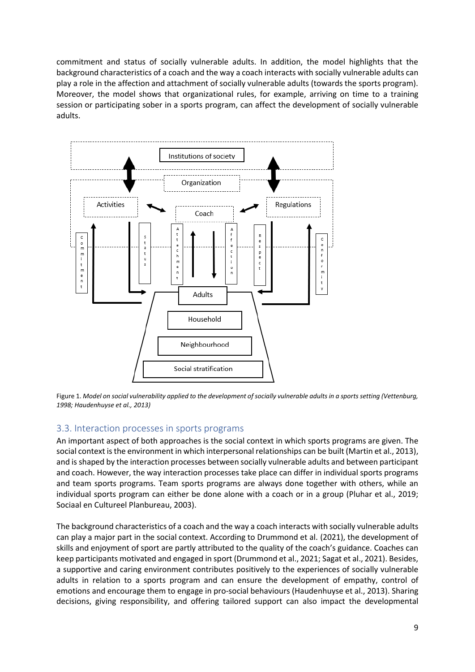commitment and status of socially vulnerable adults. In addition, the model highlights that the background characteristics of a coach and the way a coach interacts with socially vulnerable adults can play a role in the affection and attachment of socially vulnerable adults (towards the sports program). Moreover, the model shows that organizational rules, for example, arriving on time to a training session or participating sober in a sports program, can affect the development of socially vulnerable adults.



Figure 1. *Model on social vulnerability applied to the development of socially vulnerable adults in a sports setting (Vettenburg, 1998; Haudenhuyse et al., 2013)*

#### <span id="page-9-0"></span>3.3. Interaction processes in sports programs

An important aspect of both approaches is the social context in which sports programs are given. The social context is the environment in which interpersonal relationships can be built (Martin et al., 2013), and is shaped by the interaction processes between socially vulnerable adults and between participant and coach. However, the way interaction processes take place can differ in individual sports programs and team sports programs. Team sports programs are always done together with others, while an individual sports program can either be done alone with a coach or in a group (Pluhar et al., 2019; Sociaal en Cultureel Planbureau, 2003).

The background characteristics of a coach and the way a coach interacts with socially vulnerable adults can play a major part in the social context. According to Drummond et al. (2021), the development of skills and enjoyment of sport are partly attributed to the quality of the coach's guidance. Coaches can keep participants motivated and engaged in sport (Drummond et al., 2021; Sagat et al., 2021). Besides, a supportive and caring environment contributes positively to the experiences of socially vulnerable adults in relation to a sports program and can ensure the development of empathy, control of emotions and encourage them to engage in pro-social behaviours (Haudenhuyse et al., 2013). Sharing decisions, giving responsibility, and offering tailored support can also impact the developmental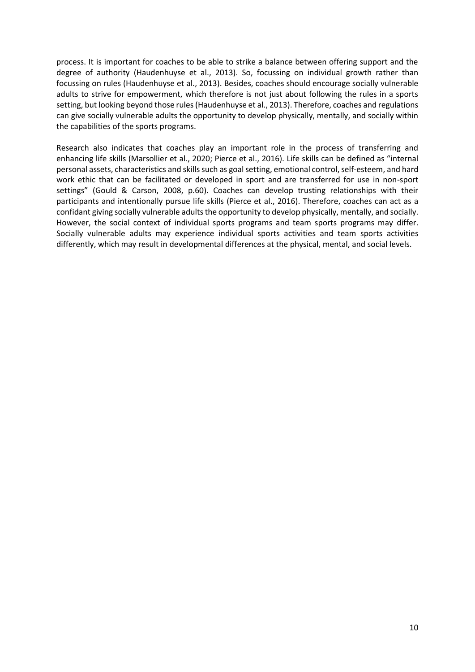process. It is important for coaches to be able to strike a balance between offering support and the degree of authority (Haudenhuyse et al., 2013). So, focussing on individual growth rather than focussing on rules (Haudenhuyse et al., 2013). Besides, coaches should encourage socially vulnerable adults to strive for empowerment, which therefore is not just about following the rules in a sports setting, but looking beyond those rules(Haudenhuyse et al., 2013). Therefore, coaches and regulations can give socially vulnerable adults the opportunity to develop physically, mentally, and socially within the capabilities of the sports programs.

Research also indicates that coaches play an important role in the process of transferring and enhancing life skills (Marsollier et al., 2020; Pierce et al., 2016). Life skills can be defined as "internal personal assets, characteristics and skills such as goal setting, emotional control, self-esteem, and hard work ethic that can be facilitated or developed in sport and are transferred for use in non-sport settings" (Gould & Carson, 2008, p.60). Coaches can develop trusting relationships with their participants and intentionally pursue life skills (Pierce et al., 2016). Therefore, coaches can act as a confidant giving socially vulnerable adults the opportunity to develop physically, mentally, and socially. However, the social context of individual sports programs and team sports programs may differ. Socially vulnerable adults may experience individual sports activities and team sports activities differently, which may result in developmental differences at the physical, mental, and social levels.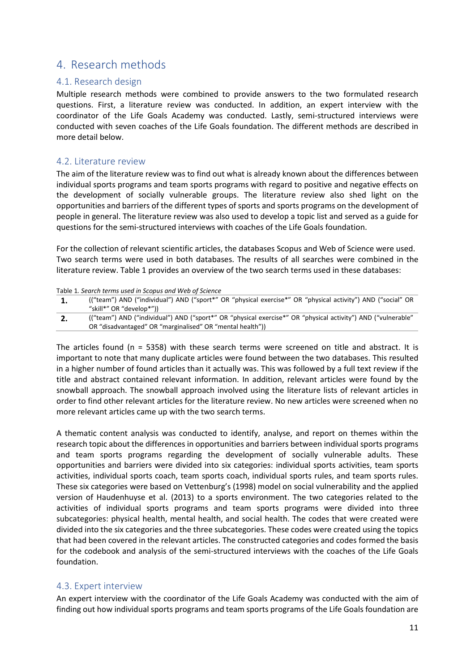## <span id="page-11-0"></span>4. Research methods

#### <span id="page-11-1"></span>4.1. Research design

Multiple research methods were combined to provide answers to the two formulated research questions. First, a literature review was conducted. In addition, an expert interview with the coordinator of the Life Goals Academy was conducted. Lastly, semi-structured interviews were conducted with seven coaches of the Life Goals foundation. The different methods are described in more detail below.

#### <span id="page-11-2"></span>4.2. Literature review

The aim of the literature review was to find out what is already known about the differences between individual sports programs and team sports programs with regard to positive and negative effects on the development of socially vulnerable groups. The literature review also shed light on the opportunities and barriers of the different types of sports and sports programs on the development of people in general. The literature review was also used to develop a topic list and served as a guide for questions for the semi-structured interviews with coaches of the Life Goals foundation.

For the collection of relevant scientific articles, the databases Scopus and Web of Science were used. Two search terms were used in both databases. The results of all searches were combined in the literature review. Table 1 provides an overview of the two search terms used in these databases:

Table 1*. Search terms used in Scopus and Web of Science*

|            | ("team") AND ("individual") AND ("sport*" OR "physical exercise*" OR "physical activity") AND ("social" OR<br>"skill*" OR "develop*"))                                   |
|------------|--------------------------------------------------------------------------------------------------------------------------------------------------------------------------|
| <u>. .</u> | ("team") AND ("individual") AND ("sport*" OR "physical exercise*" OR "physical activity") AND ("vulnerable"<br>OR "disadvantaged" OR "marginalised" OR "mental health")) |
|            |                                                                                                                                                                          |

The articles found (n = 5358) with these search terms were screened on title and abstract. It is important to note that many duplicate articles were found between the two databases. This resulted in a higher number of found articles than it actually was. This was followed by a full text review if the title and abstract contained relevant information. In addition, relevant articles were found by the snowball approach. The snowball approach involved using the literature lists of relevant articles in order to find other relevant articles for the literature review. No new articles were screened when no more relevant articles came up with the two search terms.

A thematic content analysis was conducted to identify, analyse, and report on themes within the research topic about the differences in opportunities and barriers between individual sports programs and team sports programs regarding the development of socially vulnerable adults. These opportunities and barriers were divided into six categories: individual sports activities, team sports activities, individual sports coach, team sports coach, individual sports rules, and team sports rules. These six categories were based on Vettenburg's (1998) model on social vulnerability and the applied version of Haudenhuyse et al. (2013) to a sports environment. The two categories related to the activities of individual sports programs and team sports programs were divided into three subcategories: physical health, mental health, and social health. The codes that were created were divided into the six categories and the three subcategories. These codes were created using the topics that had been covered in the relevant articles. The constructed categories and codes formed the basis for the codebook and analysis of the semi-structured interviews with the coaches of the Life Goals foundation.

#### <span id="page-11-3"></span>4.3. Expert interview

An expert interview with the coordinator of the Life Goals Academy was conducted with the aim of finding out how individual sports programs and team sports programs of the Life Goals foundation are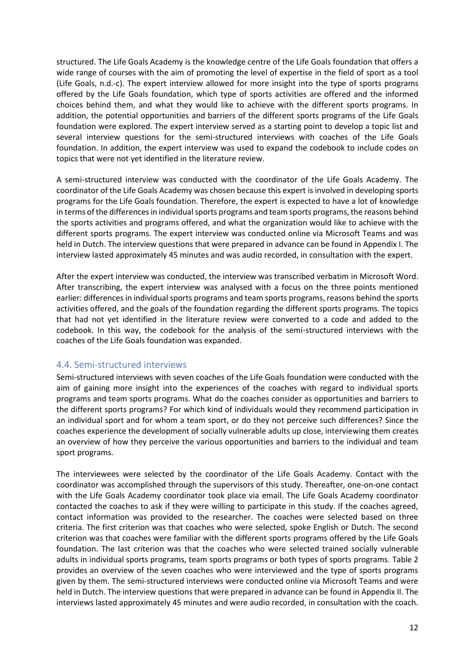structured. The Life Goals Academy is the knowledge centre of the Life Goals foundation that offers a wide range of courses with the aim of promoting the level of expertise in the field of sport as a tool (Life Goals, n.d.-c). The expert interview allowed for more insight into the type of sports programs offered by the Life Goals foundation, which type of sports activities are offered and the informed choices behind them, and what they would like to achieve with the different sports programs. In addition, the potential opportunities and barriers of the different sports programs of the Life Goals foundation were explored. The expert interview served as a starting point to develop a topic list and several interview questions for the semi-structured interviews with coaches of the Life Goals foundation. In addition, the expert interview was used to expand the codebook to include codes on topics that were not yet identified in the literature review.

A semi-structured interview was conducted with the coordinator of the Life Goals Academy. The coordinator of the Life Goals Academy was chosen because this expert is involved in developing sports programs for the Life Goals foundation. Therefore, the expert is expected to have a lot of knowledge in terms of the differences in individual sports programs and team sports programs, the reasons behind the sports activities and programs offered, and what the organization would like to achieve with the different sports programs. The expert interview was conducted online via Microsoft Teams and was held in Dutch. The interview questions that were prepared in advance can be found in Appendix I. The interview lasted approximately 45 minutes and was audio recorded, in consultation with the expert.

After the expert interview was conducted, the interview was transcribed verbatim in Microsoft Word. After transcribing, the expert interview was analysed with a focus on the three points mentioned earlier: differences in individual sports programs and team sports programs, reasons behind the sports activities offered, and the goals of the foundation regarding the different sports programs. The topics that had not yet identified in the literature review were converted to a code and added to the codebook. In this way, the codebook for the analysis of the semi-structured interviews with the coaches of the Life Goals foundation was expanded.

#### <span id="page-12-0"></span>4.4. Semi-structured interviews

Semi-structured interviews with seven coaches of the Life Goals foundation were conducted with the aim of gaining more insight into the experiences of the coaches with regard to individual sports programs and team sports programs. What do the coaches consider as opportunities and barriers to the different sports programs? For which kind of individuals would they recommend participation in an individual sport and for whom a team sport, or do they not perceive such differences? Since the coaches experience the development of socially vulnerable adults up close, interviewing them creates an overview of how they perceive the various opportunities and barriers to the individual and team sport programs.

The interviewees were selected by the coordinator of the Life Goals Academy. Contact with the coordinator was accomplished through the supervisors of this study. Thereafter, one-on-one contact with the Life Goals Academy coordinator took place via email. The Life Goals Academy coordinator contacted the coaches to ask if they were willing to participate in this study. If the coaches agreed, contact information was provided to the researcher. The coaches were selected based on three criteria. The first criterion was that coaches who were selected, spoke English or Dutch. The second criterion was that coaches were familiar with the different sports programs offered by the Life Goals foundation. The last criterion was that the coaches who were selected trained socially vulnerable adults in individual sports programs, team sports programs or both types of sports programs. Table 2 provides an overview of the seven coaches who were interviewed and the type of sports programs given by them. The semi-structured interviews were conducted online via Microsoft Teams and were held in Dutch. The interview questions that were prepared in advance can be found in Appendix II. The interviews lasted approximately 45 minutes and were audio recorded, in consultation with the coach.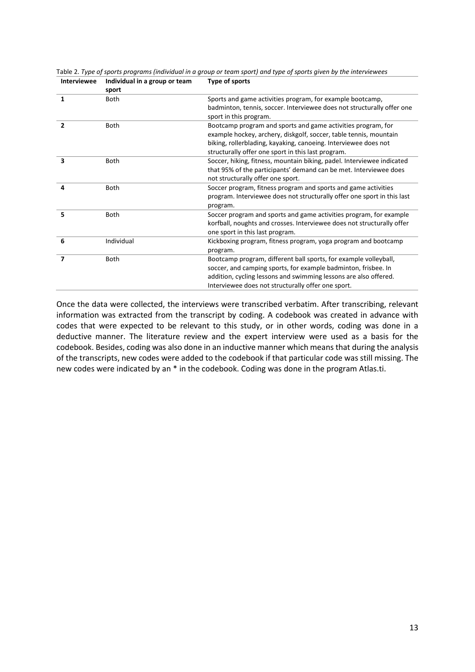|                | sport       |                                                                                                                                                                                                                                                              |
|----------------|-------------|--------------------------------------------------------------------------------------------------------------------------------------------------------------------------------------------------------------------------------------------------------------|
| 1              | <b>Both</b> | Sports and game activities program, for example bootcamp,<br>badminton, tennis, soccer. Interviewee does not structurally offer one<br>sport in this program.                                                                                                |
| $\overline{2}$ | Both        | Bootcamp program and sports and game activities program, for<br>example hockey, archery, diskgolf, soccer, table tennis, mountain<br>biking, rollerblading, kayaking, canoeing. Interviewee does not<br>structurally offer one sport in this last program.   |
| 3              | <b>Both</b> | Soccer, hiking, fitness, mountain biking, padel. Interviewee indicated<br>that 95% of the participants' demand can be met. Interviewee does<br>not structurally offer one sport.                                                                             |
| 4              | Both        | Soccer program, fitness program and sports and game activities<br>program. Interviewee does not structurally offer one sport in this last<br>program.                                                                                                        |
| 5              | Both        | Soccer program and sports and game activities program, for example<br>korfball, noughts and crosses. Interviewee does not structurally offer<br>one sport in this last program.                                                                              |
| 6              | Individual  | Kickboxing program, fitness program, yoga program and bootcamp<br>program.                                                                                                                                                                                   |
| 7              | <b>Both</b> | Bootcamp program, different ball sports, for example volleyball,<br>soccer, and camping sports, for example badminton, frisbee. In<br>addition, cycling lessons and swimming lessons are also offered.<br>Interviewee does not structurally offer one sport. |

Table 2. *Type of sports programs (individual in a group or team sport) and type of sports given by the interviewees* **Interviewee Individual in a group or team Type of sports**

Once the data were collected, the interviews were transcribed verbatim. After transcribing, relevant information was extracted from the transcript by coding. A codebook was created in advance with codes that were expected to be relevant to this study, or in other words, coding was done in a deductive manner. The literature review and the expert interview were used as a basis for the codebook. Besides, coding was also done in an inductive manner which means that during the analysis of the transcripts, new codes were added to the codebook if that particular code was still missing. The new codes were indicated by an \* in the codebook. Coding was done in the program Atlas.ti.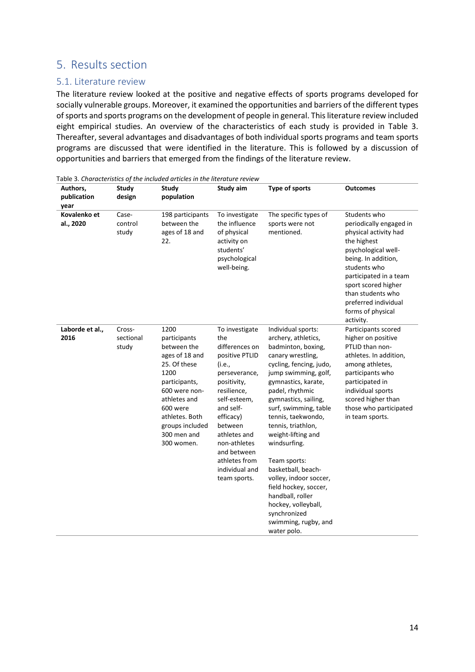## <span id="page-14-0"></span>5. Results section

#### <span id="page-14-1"></span>5.1. Literature review

The literature review looked at the positive and negative effects of sports programs developed for socially vulnerable groups. Moreover, it examined the opportunities and barriers of the different types of sports and sports programs on the development of people in general. This literature review included eight empirical studies. An overview of the characteristics of each study is provided in Table 3. Thereafter, several advantages and disadvantages of both individual sports programs and team sports programs are discussed that were identified in the literature. This is followed by a discussion of opportunities and barriers that emerged from the findings of the literature review.

| Authors,<br>publication<br>year | Study<br>design              | <b>Study</b><br>population                                                                                                                                                                                    | Study aim                                                                                                                                                                                                                                                                 | Type of sports                                                                                                                                                                                                                                                                                                                                                                                                                                                                                   | <b>Outcomes</b>                                                                                                                                                                                                                                                               |
|---------------------------------|------------------------------|---------------------------------------------------------------------------------------------------------------------------------------------------------------------------------------------------------------|---------------------------------------------------------------------------------------------------------------------------------------------------------------------------------------------------------------------------------------------------------------------------|--------------------------------------------------------------------------------------------------------------------------------------------------------------------------------------------------------------------------------------------------------------------------------------------------------------------------------------------------------------------------------------------------------------------------------------------------------------------------------------------------|-------------------------------------------------------------------------------------------------------------------------------------------------------------------------------------------------------------------------------------------------------------------------------|
| Kovalenko et<br>al., 2020       | Case-<br>control<br>study    | 198 participants<br>between the<br>ages of 18 and<br>22.                                                                                                                                                      | To investigate<br>the influence<br>of physical<br>activity on<br>students'<br>psychological<br>well-being.                                                                                                                                                                | The specific types of<br>sports were not<br>mentioned.                                                                                                                                                                                                                                                                                                                                                                                                                                           | Students who<br>periodically engaged in<br>physical activity had<br>the highest<br>psychological well-<br>being. In addition,<br>students who<br>participated in a team<br>sport scored higher<br>than students who<br>preferred individual<br>forms of physical<br>activity. |
| Laborde et al.,<br>2016         | Cross-<br>sectional<br>study | 1200<br>participants<br>between the<br>ages of 18 and<br>25. Of these<br>1200<br>participants,<br>600 were non-<br>athletes and<br>600 were<br>athletes. Both<br>groups included<br>300 men and<br>300 women. | To investigate<br>the<br>differences on<br>positive PTLID<br>(i.e.,<br>perseverance,<br>positivity,<br>resilience,<br>self-esteem,<br>and self-<br>efficacy)<br>between<br>athletes and<br>non-athletes<br>and between<br>athletes from<br>individual and<br>team sports. | Individual sports:<br>archery, athletics,<br>badminton, boxing,<br>canary wrestling,<br>cycling, fencing, judo,<br>jump swimming, golf,<br>gymnastics, karate,<br>padel, rhythmic<br>gymnastics, sailing,<br>surf, swimming, table<br>tennis, taekwondo,<br>tennis, triathlon,<br>weight-lifting and<br>windsurfing.<br>Team sports:<br>basketball, beach-<br>volley, indoor soccer,<br>field hockey, soccer,<br>handball, roller<br>hockey, volleyball,<br>synchronized<br>swimming, rugby, and | Participants scored<br>higher on positive<br>PTLID than non-<br>athletes. In addition,<br>among athletes,<br>participants who<br>participated in<br>individual sports<br>scored higher than<br>those who participated<br>in team sports.                                      |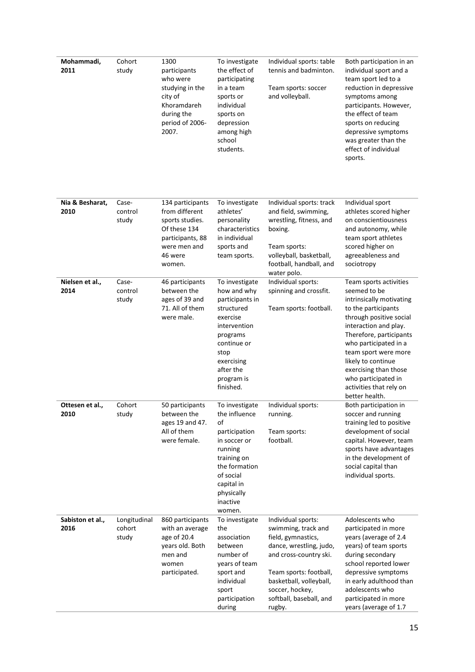| Mohammadi,<br>2011       | Cohort<br>study                 | 1300<br>participants<br>who were<br>studying in the<br>city of<br>Khoramdareh<br>during the<br>period of 2006-<br>2007.        | To investigate<br>the effect of<br>participating<br>in a team<br>sports or<br>individual<br>sports on<br>depression<br>among high<br>school<br>students.                            | Individual sports: table<br>tennis and badminton.<br>Team sports: soccer<br>and volleyball.                                                                                                                                       | Both participation in an<br>individual sport and a<br>team sport led to a<br>reduction in depressive<br>symptoms among<br>participants. However,<br>the effect of team<br>sports on reducing<br>depressive symptoms<br>was greater than the<br>effect of individual<br>sports.                                                               |
|--------------------------|---------------------------------|--------------------------------------------------------------------------------------------------------------------------------|-------------------------------------------------------------------------------------------------------------------------------------------------------------------------------------|-----------------------------------------------------------------------------------------------------------------------------------------------------------------------------------------------------------------------------------|----------------------------------------------------------------------------------------------------------------------------------------------------------------------------------------------------------------------------------------------------------------------------------------------------------------------------------------------|
| Nia & Besharat,<br>2010  | Case-<br>control<br>study       | 134 participants<br>from different<br>sports studies.<br>Of these 134<br>participants, 88<br>were men and<br>46 were<br>women. | To investigate<br>athletes'<br>personality<br>characteristics<br>in individual<br>sports and<br>team sports.                                                                        | Individual sports: track<br>and field, swimming,<br>wrestling, fitness, and<br>boxing.<br>Team sports:<br>volleyball, basketball,<br>football, handball, and<br>water polo.                                                       | Individual sport<br>athletes scored higher<br>on conscientiousness<br>and autonomy, while<br>team sport athletes<br>scored higher on<br>agreeableness and<br>sociotropy                                                                                                                                                                      |
| Nielsen et al.,<br>2014  | Case-<br>control<br>study       | 46 participants<br>between the<br>ages of 39 and<br>71. All of them<br>were male.                                              | To investigate<br>how and why<br>participants in<br>structured<br>exercise<br>intervention<br>programs<br>continue or<br>stop<br>exercising<br>after the<br>program is<br>finished. | Individual sports:<br>spinning and crossfit.<br>Team sports: football.                                                                                                                                                            | Team sports activities<br>seemed to be<br>intrinsically motivating<br>to the participants<br>through positive social<br>interaction and play.<br>Therefore, participants<br>who participated in a<br>team sport were more<br>likely to continue<br>exercising than those<br>who participated in<br>activities that rely on<br>better health. |
| Ottesen et al.,<br>2010  | Cohort<br>study                 | 50 participants<br>between the<br>ages 19 and 47.<br>All of them<br>were female.                                               | To investigate<br>the influence<br>of<br>participation<br>in soccer or<br>running<br>training on<br>the formation<br>of social<br>capital in<br>physically<br>inactive<br>women.    | Individual sports:<br>running.<br>Team sports:<br>football.                                                                                                                                                                       | Both participation in<br>soccer and running<br>training led to positive<br>development of social<br>capital. However, team<br>sports have advantages<br>in the development of<br>social capital than<br>individual sports.                                                                                                                   |
| Sabiston et al.,<br>2016 | Longitudinal<br>cohort<br>study | 860 participants<br>with an average<br>age of 20.4<br>years old. Both<br>men and<br>women<br>participated.                     | To investigate<br>the<br>association<br>between<br>number of<br>years of team<br>sport and<br>individual<br>sport<br>participation<br>during                                        | Individual sports:<br>swimming, track and<br>field, gymnastics,<br>dance, wrestling, judo,<br>and cross-country ski.<br>Team sports: football,<br>basketball, volleyball,<br>soccer, hockey,<br>softball, baseball, and<br>rugby. | Adolescents who<br>participated in more<br>years (average of 2.4<br>years) of team sports<br>during secondary<br>school reported lower<br>depressive symptoms<br>in early adulthood than<br>adolescents who<br>participated in more<br>years (average of 1.7                                                                                 |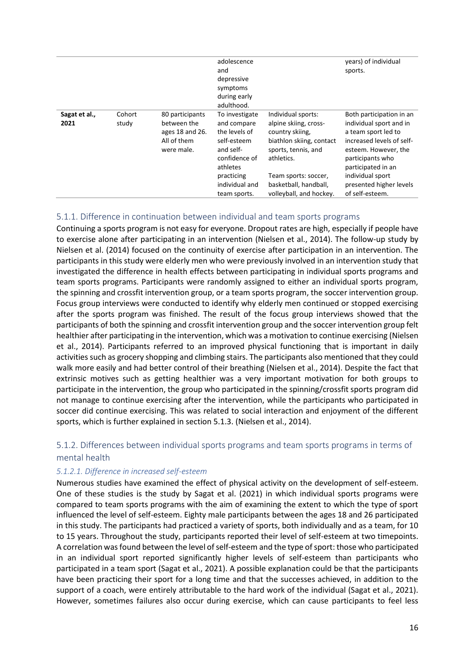|                       |                 |                                                                                | adolescence<br>and<br>depressive<br>symptoms<br>during early<br>adulthood.                                                                              |                                                                                                                                                                                                             | years) of individual<br>sports.                                                                                                                                                                                                             |
|-----------------------|-----------------|--------------------------------------------------------------------------------|---------------------------------------------------------------------------------------------------------------------------------------------------------|-------------------------------------------------------------------------------------------------------------------------------------------------------------------------------------------------------------|---------------------------------------------------------------------------------------------------------------------------------------------------------------------------------------------------------------------------------------------|
| Sagat et al.,<br>2021 | Cohort<br>study | 80 participants<br>between the<br>ages 18 and 26.<br>All of them<br>were male. | To investigate<br>and compare<br>the levels of<br>self-esteem<br>and self-<br>confidence of<br>athletes<br>practicing<br>individual and<br>team sports. | Individual sports:<br>alpine skiing, cross-<br>country skiing,<br>biathlon skiing, contact<br>sports, tennis, and<br>athletics.<br>Team sports: soccer,<br>basketball, handball,<br>volleyball, and hockey. | Both participation in an<br>individual sport and in<br>a team sport led to<br>increased levels of self-<br>esteem. However, the<br>participants who<br>participated in an<br>individual sport<br>presented higher levels<br>of self-esteem. |

#### <span id="page-16-0"></span>5.1.1. Difference in continuation between individual and team sports programs

Continuing a sports program is not easy for everyone. Dropout rates are high, especially if people have to exercise alone after participating in an intervention (Nielsen et al., 2014). The follow-up study by Nielsen et al. (2014) focused on the continuity of exercise after participation in an intervention. The participants in this study were elderly men who were previously involved in an intervention study that investigated the difference in health effects between participating in individual sports programs and team sports programs. Participants were randomly assigned to either an individual sports program, the spinning and crossfit intervention group, or a team sports program, the soccer intervention group. Focus group interviews were conducted to identify why elderly men continued or stopped exercising after the sports program was finished. The result of the focus group interviews showed that the participants of both the spinning and crossfit intervention group and the soccer intervention group felt healthier after participating in the intervention, which was a motivation to continue exercising (Nielsen et al., 2014). Participants referred to an improved physical functioning that is important in daily activities such as grocery shopping and climbing stairs. The participants also mentioned that they could walk more easily and had better control of their breathing (Nielsen et al., 2014). Despite the fact that extrinsic motives such as getting healthier was a very important motivation for both groups to participate in the intervention, the group who participated in the spinning/crossfit sports program did not manage to continue exercising after the intervention, while the participants who participated in soccer did continue exercising. This was related to social interaction and enjoyment of the different sports, which is further explained in section 5.1.3. (Nielsen et al., 2014).

#### <span id="page-16-1"></span>5.1.2. Differences between individual sports programs and team sports programs in terms of mental health

#### *5.1.2.1. Difference in increased self-esteem*

Numerous studies have examined the effect of physical activity on the development of self-esteem. One of these studies is the study by Sagat et al. (2021) in which individual sports programs were compared to team sports programs with the aim of examining the extent to which the type of sport influenced the level of self-esteem. Eighty male participants between the ages 18 and 26 participated in this study. The participants had practiced a variety of sports, both individually and as a team, for 10 to 15 years. Throughout the study, participants reported their level of self-esteem at two timepoints. A correlation was found between the level of self-esteem and the type of sport: those who participated in an individual sport reported significantly higher levels of self-esteem than participants who participated in a team sport (Sagat et al., 2021). A possible explanation could be that the participants have been practicing their sport for a long time and that the successes achieved, in addition to the support of a coach, were entirely attributable to the hard work of the individual (Sagat et al., 2021). However, sometimes failures also occur during exercise, which can cause participants to feel less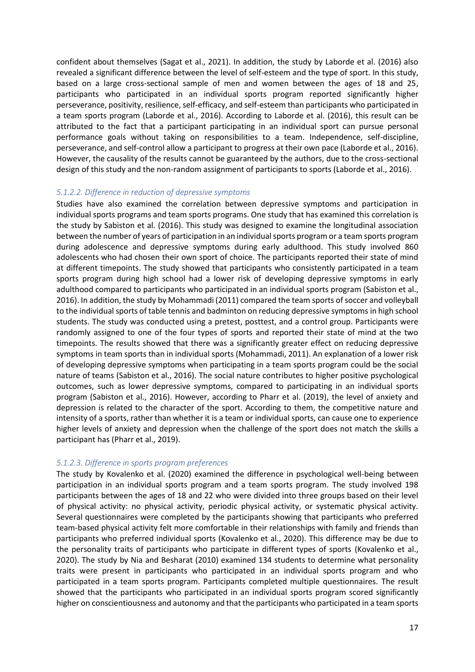confident about themselves (Sagat et al., 2021). In addition, the study by Laborde et al. (2016) also revealed a significant difference between the level of self-esteem and the type of sport. In this study, based on a large cross-sectional sample of men and women between the ages of 18 and 25, participants who participated in an individual sports program reported significantly higher perseverance, positivity, resilience, self-efficacy, and self-esteem than participants who participated in a team sports program (Laborde et al., 2016). According to Laborde et al. (2016), this result can be attributed to the fact that a participant participating in an individual sport can pursue personal performance goals without taking on responsibilities to a team. Independence, self-discipline, perseverance, and self-control allow a participant to progress at their own pace (Laborde et al., 2016). However, the causality of the results cannot be guaranteed by the authors, due to the cross-sectional design of this study and the non-random assignment of participants to sports (Laborde et al., 2016).

#### *5.1.2.2. Difference in reduction of depressive symptoms*

Studies have also examined the correlation between depressive symptoms and participation in individual sports programs and team sports programs. One study that has examined this correlation is the study by Sabiston et al. (2016). This study was designed to examine the longitudinal association between the number of years of participation in an individual sports program or a team sports program during adolescence and depressive symptoms during early adulthood. This study involved 860 adolescents who had chosen their own sport of choice. The participants reported their state of mind at different timepoints. The study showed that participants who consistently participated in a team sports program during high school had a lower risk of developing depressive symptoms in early adulthood compared to participants who participated in an individual sports program (Sabiston et al., 2016). In addition, the study by Mohammadi (2011) compared the team sports of soccer and volleyball to the individual sports of table tennis and badminton on reducing depressive symptoms in high school students. The study was conducted using a pretest, posttest, and a control group. Participants were randomly assigned to one of the four types of sports and reported their state of mind at the two timepoints. The results showed that there was a significantly greater effect on reducing depressive symptoms in team sports than in individual sports (Mohammadi, 2011). An explanation of a lower risk of developing depressive symptoms when participating in a team sports program could be the social nature of teams (Sabiston et al., 2016). The social nature contributes to higher positive psychological outcomes, such as lower depressive symptoms, compared to participating in an individual sports program (Sabiston et al., 2016). However, according to Pharr et al. (2019), the level of anxiety and depression is related to the character of the sport. According to them, the competitive nature and intensity of a sports, rather than whether it is a team or individual sports, can cause one to experience higher levels of anxiety and depression when the challenge of the sport does not match the skills a participant has (Pharr et al., 2019).

#### *5.1.2.3. Difference in sports program preferences*

The study by Kovalenko et al. (2020) examined the difference in psychological well-being between participation in an individual sports program and a team sports program. The study involved 198 participants between the ages of 18 and 22 who were divided into three groups based on their level of physical activity: no physical activity, periodic physical activity, or systematic physical activity. Several questionnaires were completed by the participants showing that participants who preferred team-based physical activity felt more comfortable in their relationships with family and friends than participants who preferred individual sports (Kovalenko et al., 2020). This difference may be due to the personality traits of participants who participate in different types of sports (Kovalenko et al., 2020). The study by Nia and Besharat (2010) examined 134 students to determine what personality traits were present in participants who participated in an individual sports program and who participated in a team sports program. Participants completed multiple questionnaires. The result showed that the participants who participated in an individual sports program scored significantly higher on conscientiousness and autonomy and that the participants who participated in a team sports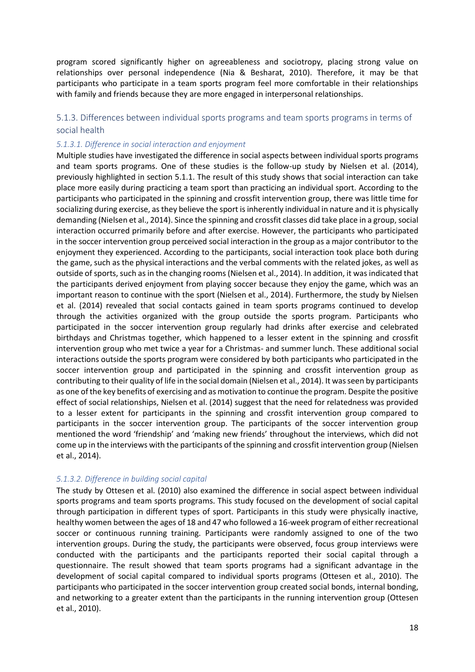program scored significantly higher on agreeableness and sociotropy, placing strong value on relationships over personal independence (Nia & Besharat, 2010). Therefore, it may be that participants who participate in a team sports program feel more comfortable in their relationships with family and friends because they are more engaged in interpersonal relationships.

#### <span id="page-18-0"></span>5.1.3. Differences between individual sports programs and team sports programs in terms of social health

#### *5.1.3.1. Difference in social interaction and enjoyment*

Multiple studies have investigated the difference in social aspects between individual sports programs and team sports programs. One of these studies is the follow-up study by Nielsen et al. (2014), previously highlighted in section 5.1.1. The result of this study shows that social interaction can take place more easily during practicing a team sport than practicing an individual sport. According to the participants who participated in the spinning and crossfit intervention group, there was little time for socializing during exercise, as they believe the sport is inherently individual in nature and it is physically demanding (Nielsen et al., 2014). Since the spinning and crossfit classes did take place in a group, social interaction occurred primarily before and after exercise. However, the participants who participated in the soccer intervention group perceived social interaction in the group as a major contributor to the enjoyment they experienced. According to the participants, social interaction took place both during the game, such as the physical interactions and the verbal comments with the related jokes, as well as outside of sports, such as in the changing rooms (Nielsen et al., 2014). In addition, it was indicated that the participants derived enjoyment from playing soccer because they enjoy the game, which was an important reason to continue with the sport (Nielsen et al., 2014). Furthermore, the study by Nielsen et al. (2014) revealed that social contacts gained in team sports programs continued to develop through the activities organized with the group outside the sports program. Participants who participated in the soccer intervention group regularly had drinks after exercise and celebrated birthdays and Christmas together, which happened to a lesser extent in the spinning and crossfit intervention group who met twice a year for a Christmas- and summer lunch. These additional social interactions outside the sports program were considered by both participants who participated in the soccer intervention group and participated in the spinning and crossfit intervention group as contributing to their quality of life in the social domain (Nielsen et al., 2014). It was seen by participants as one of the key benefits of exercising and as motivation to continue the program. Despite the positive effect of social relationships, Nielsen et al. (2014) suggest that the need for relatedness was provided to a lesser extent for participants in the spinning and crossfit intervention group compared to participants in the soccer intervention group. The participants of the soccer intervention group mentioned the word 'friendship' and 'making new friends' throughout the interviews, which did not come up in the interviews with the participants of the spinning and crossfit intervention group (Nielsen et al., 2014).

#### *5.1.3.2. Difference in building social capital*

The study by Ottesen et al. (2010) also examined the difference in social aspect between individual sports programs and team sports programs. This study focused on the development of social capital through participation in different types of sport. Participants in this study were physically inactive, healthy women between the ages of 18 and 47 who followed a 16-week program of either recreational soccer or continuous running training. Participants were randomly assigned to one of the two intervention groups. During the study, the participants were observed, focus group interviews were conducted with the participants and the participants reported their social capital through a questionnaire. The result showed that team sports programs had a significant advantage in the development of social capital compared to individual sports programs (Ottesen et al., 2010). The participants who participated in the soccer intervention group created social bonds, internal bonding, and networking to a greater extent than the participants in the running intervention group (Ottesen et al., 2010).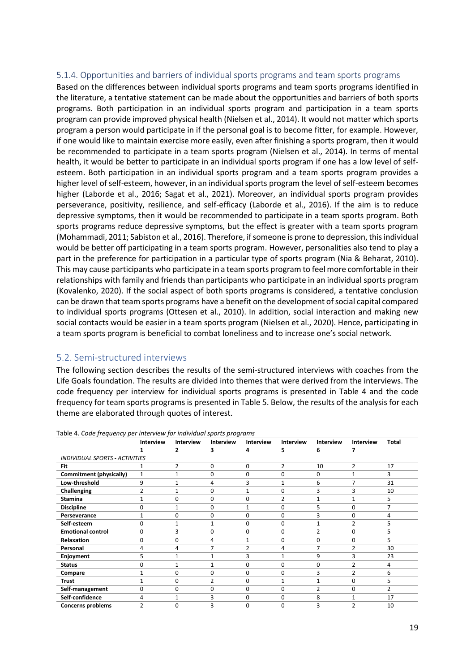#### <span id="page-19-0"></span>5.1.4. Opportunities and barriers of individual sports programs and team sports programs

Based on the differences between individual sports programs and team sports programs identified in the literature, a tentative statement can be made about the opportunities and barriers of both sports programs. Both participation in an individual sports program and participation in a team sports program can provide improved physical health (Nielsen et al., 2014). It would not matter which sports program a person would participate in if the personal goal is to become fitter, for example. However, if one would like to maintain exercise more easily, even after finishing a sports program, then it would be recommended to participate in a team sports program (Nielsen et al., 2014). In terms of mental health, it would be better to participate in an individual sports program if one has a low level of selfesteem. Both participation in an individual sports program and a team sports program provides a higher level of self-esteem, however, in an individual sports program the level of self-esteem becomes higher (Laborde et al., 2016; Sagat et al., 2021). Moreover, an individual sports program provides perseverance, positivity, resilience, and self-efficacy (Laborde et al., 2016). If the aim is to reduce depressive symptoms, then it would be recommended to participate in a team sports program. Both sports programs reduce depressive symptoms, but the effect is greater with a team sports program (Mohammadi, 2011; Sabiston et al., 2016). Therefore, if someone is prone to depression, this individual would be better off participating in a team sports program. However, personalities also tend to play a part in the preference for participation in a particular type of sports program (Nia & Beharat, 2010). This may cause participants who participate in a team sports program to feel more comfortable in their relationships with family and friends than participants who participate in an individual sports program (Kovalenko, 2020). If the social aspect of both sports programs is considered, a tentative conclusion can be drawn that team sports programs have a benefit on the development of social capital compared to individual sports programs (Ottesen et al., 2010). In addition, social interaction and making new social contacts would be easier in a team sports program (Nielsen et al., 2020). Hence, participating in a team sports program is beneficial to combat loneliness and to increase one's social network.

#### <span id="page-19-1"></span>5.2. Semi-structured interviews

The following section describes the results of the semi-structured interviews with coaches from the Life Goals foundation. The results are divided into themes that were derived from the interviews. The code frequency per interview for individual sports programs is presented in Table 4 and the code frequency for team sports programs is presented in Table 5. Below, the results of the analysis for each theme are elaborated through quotes of interest.

|                                | Interview      | Interview | Interview | Interview      | Interview      | Interview      | Interview      | Total          |
|--------------------------------|----------------|-----------|-----------|----------------|----------------|----------------|----------------|----------------|
|                                |                |           | 3         | 4              | 5              | 6              |                |                |
| INDIVIDUAL SPORTS - ACTIVITIES |                |           |           |                |                |                |                |                |
| Fit                            |                | 2         | 0         | 0              | $\overline{2}$ | 10             | 2              | 17             |
| Commitment (physically)        | $\mathbf{1}$   |           | 0         | 0              | O              | 0              | 1              | 3              |
| Low-threshold                  | 9              |           | 4         | 3              |                | 6              |                | 31             |
| Challenging                    | $\overline{2}$ |           | 0         | $\mathbf{1}$   | 0              | 3              | 3              | 10             |
| <b>Stamina</b>                 |                | 0         | 0         | 0              | 2              | 1              | 1              | 5              |
| <b>Discipline</b>              | 0              |           | 0         | 1              | 0              | 5              | 0              | 7              |
| Perseverance                   |                | O         | 0         | 0              | 0              | 3              | 0              | 4              |
| Self-esteem                    | $\Omega$       |           | 1         | 0              | 0              | 1              | $\overline{2}$ | 5              |
| <b>Emotional control</b>       | 0              | 3         | 0         | 0              | 0              | $\overline{2}$ | 0              |                |
| <b>Relaxation</b>              | 0              | O         | 4         |                | 0              | 0              | 0              | 5              |
| Personal                       | 4              | Δ         | 7         | $\mathfrak{p}$ | 4              | 7              | $\overline{2}$ | 30             |
| Enjoyment                      | 5.             |           | 1         | 3              |                | 9              | 3              | 23             |
| <b>Status</b>                  | 0              |           | 1         | 0              | 0              | 0              | $\overline{2}$ | 4              |
| Compare                        |                | O         | 0         | 0              | 0              | 3              | 2              | 6              |
| <b>Trust</b>                   |                | o         | 2         | 0              |                |                | 0              |                |
| Self-management                | $\Omega$       | 0         | 0         | 0              | 0              | $\overline{2}$ | 0              | $\overline{2}$ |
| Self-confidence                | 4              |           | 3         | 0              | 0              | 8              |                | 17             |
| Concerns problems              | 2              |           | 3         | 0              | 0              | 3              | 2              | 10             |

Table 4. *Code frequency per interview for individual sports programs*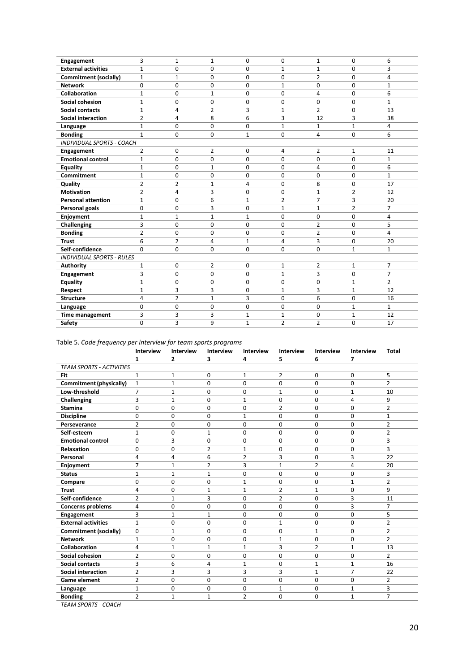| Engagement                       | 3              | 1              | 1              | 0              | 0              | 1              | 0              | 6              |
|----------------------------------|----------------|----------------|----------------|----------------|----------------|----------------|----------------|----------------|
| <b>External activities</b>       | $\mathbf{1}$   | 0              | $\mathbf 0$    | $\Omega$       | $\mathbf{1}$   | 1              | 0              | 3              |
| <b>Commitment (socially)</b>     | $\mathbf{1}$   | $\mathbf{1}$   | 0              | 0              | $\Omega$       | $\overline{2}$ | 0              | 4              |
| <b>Network</b>                   | $\Omega$       | $\Omega$       | 0              | $\Omega$       | $\mathbf{1}$   | 0              | 0              | 1              |
| Collaboration                    | $\mathbf{1}$   | 0              | $\mathbf{1}$   | 0              | 0              | 4              | 0              | 6              |
| <b>Social cohesion</b>           | $\mathbf{1}$   | $\Omega$       | 0              | 0              | 0              | 0              | 0              | $\mathbf{1}$   |
| <b>Social contacts</b>           | $\mathbf{1}$   | 4              | $\overline{2}$ | 3              | 1              | $\overline{2}$ | 0              | 13             |
| <b>Social interaction</b>        | $\overline{2}$ | 4              | 8              | 6              | 3              | 12             | 3              | 38             |
| Language                         | $\mathbf{1}$   | 0              | 0              | 0              | $\mathbf{1}$   | $\mathbf{1}$   | $\mathbf{1}$   | 4              |
| <b>Bonding</b>                   | $\mathbf{1}$   | 0              | 0              | $\mathbf{1}$   | 0              | 4              | 0              | 6              |
| <b>INDIVIDUAL SPORTS - COACH</b> |                |                |                |                |                |                |                |                |
| Engagement                       | 2              | 0              | 2              | 0              | 4              | 2              | 1              | 11             |
| <b>Emotional control</b>         | $\mathbf{1}$   | $\Omega$       | 0              | $\overline{0}$ | 0              | 0              | 0              | $\mathbf{1}$   |
| Equality                         | $\mathbf{1}$   | 0              | $\mathbf{1}$   | 0              | $\Omega$       | 4              | 0              | 6              |
| Commitment                       | $\mathbf{1}$   | 0              | 0              | 0              | 0              | 0              | 0              | $\mathbf{1}$   |
| Quality                          | $\overline{2}$ | $\overline{2}$ | $\mathbf{1}$   | 4              | 0              | 8              | 0              | 17             |
| <b>Motivation</b>                | $\overline{2}$ | 4              | 3              | 0              | 0              | 1              | $\overline{2}$ | 12             |
| <b>Personal attention</b>        | $\mathbf{1}$   | 0              | 6              | $\mathbf{1}$   | $\overline{2}$ | 7              | 3              | 20             |
| Personal goals                   | 0              | 0              | 3              | 0              | $\mathbf{1}$   | $\mathbf{1}$   | $\overline{2}$ | 7              |
| Enjoyment                        | $\mathbf{1}$   | $\mathbf{1}$   | $\mathbf{1}$   | $\mathbf{1}$   | 0              | 0              | 0              | 4              |
| Challenging                      | 3              | 0              | $\mathbf 0$    | 0              | 0              | $\overline{2}$ | 0              | 5              |
| <b>Bonding</b>                   | $\overline{2}$ | 0              | 0              | 0              | 0              | $\overline{2}$ | 0              | 4              |
| <b>Trust</b>                     | 6              | $\overline{2}$ | 4              | $\mathbf{1}$   | 4              | 3              | 0              | 20             |
| Self-confidence                  | $\Omega$       | 0              | 0              | 0              | 0              | 0              | $\mathbf{1}$   | $\mathbf{1}$   |
| <b>INDIVIDUAL SPORTS - RULES</b> |                |                |                |                |                |                |                |                |
| <b>Authority</b>                 | 1              | 0              | 2              | 0              | $\mathbf{1}$   | 2              | 1              | 7              |
| <b>Engagement</b>                | 3              | 0              | 0              | 0              | $\mathbf{1}$   | 3              | 0              | 7              |
| <b>Equality</b>                  | $\mathbf{1}$   | 0              | 0              | 0              | 0              | 0              | 1              | $\overline{2}$ |
| Respect                          | $\mathbf{1}$   | 3              | 3              | $\Omega$       | $\mathbf{1}$   | 3              | $\mathbf{1}$   | 12             |
| <b>Structure</b>                 | 4              | $\overline{2}$ | $\mathbf{1}$   | 3              | 0              | 6              | 0              | 16             |
| Language                         | 0              | 0              | $\mathbf 0$    | 0              | 0              | 0              | 1              | $\mathbf{1}$   |
| <b>Time management</b>           | 3              | 3              | 3              | $\mathbf{1}$   | $\mathbf{1}$   | 0              | 1              | 12             |
| Safety                           | 0              | 3              | 9              | $\mathbf{1}$   | $\overline{2}$ | $\overline{2}$ | 0              | 17             |

#### Table 5. *Code frequency per interview for team sports programs*

|                                 | Interview      | Interview    | <b>Interview</b> | Interview      | Interview      | Interview      | Interview                | <b>Total</b>   |
|---------------------------------|----------------|--------------|------------------|----------------|----------------|----------------|--------------------------|----------------|
|                                 | 1              | $\mathbf{z}$ | з                | 4              | 5              | 6              | $\overline{\phantom{a}}$ |                |
| <b>TEAM SPORTS - ACTIVITIES</b> |                |              |                  |                |                |                |                          |                |
| Fit                             | $\mathbf{1}$   | 1            | 0                | $\mathbf{1}$   | $\overline{2}$ | 0              | 0                        | 5              |
| Commitment (physically)         | $\mathbf{1}$   | $\mathbf{1}$ | 0                | $\Omega$       | 0              | $\Omega$       | 0                        | $\overline{2}$ |
| Low-threshold                   | 7              | $\mathbf{1}$ | 0                | 0              | $\mathbf{1}$   | 0              | 1                        | 10             |
| Challenging                     | 3              | $\mathbf{1}$ | $\Omega$         | $\mathbf{1}$   | 0              | $\Omega$       | 4                        | 9              |
| <b>Stamina</b>                  | 0              | 0            | 0                | 0              | 2              | 0              | 0                        | $\overline{2}$ |
| <b>Discipline</b>               | 0              | 0            | 0                | $\mathbf{1}$   | 0              | $\mathbf 0$    | 0                        | $\mathbf{1}$   |
| Perseverance                    | $\overline{2}$ | 0            | 0                | 0              | 0              | 0              | 0                        | $\overline{2}$ |
| Self-esteem                     | 1              | 0            | $\mathbf{1}$     | 0              | 0              | 0              | 0                        | $\overline{2}$ |
| <b>Emotional control</b>        | 0              | 3            | 0                | 0              | 0              | $\Omega$       | $\Omega$                 | 3              |
| <b>Relaxation</b>               | 0              | 0            | $\overline{2}$   | $\mathbf{1}$   | 0              | $\Omega$       | 0                        | 3              |
| Personal                        | 4              | 4            | 6                | $\overline{2}$ | 3              | 0              | 3                        | 22             |
| Enjoyment                       | 7              | 1            | 2                | 3              | $\mathbf 1$    | 2              | 4                        | 20             |
| <b>Status</b>                   | $\mathbf{1}$   | $\mathbf{1}$ | $\mathbf{1}$     | 0              | 0              | 0              | 0                        | 3              |
| Compare                         | 0              | 0            | 0                | 1              | 0              | 0              | $\mathbf{1}$             | $\overline{2}$ |
| <b>Trust</b>                    | 4              | 0            | $\mathbf{1}$     | $\mathbf{1}$   | $\overline{2}$ | 1              | 0                        | 9              |
| Self-confidence                 | $\overline{2}$ | 1            | 3                | 0              | $\overline{2}$ | 0              | 3                        | 11             |
| <b>Concerns problems</b>        | 4              | 0            | 0                | 0              | 0              | 0              | 3                        | 7              |
| Engagement                      | 3              | 1            | $\mathbf{1}$     | 0              | 0              | 0              | $\Omega$                 | 5              |
| <b>External activities</b>      | $\mathbf{1}$   | 0            | 0                | 0              | $\mathbf{1}$   | 0              | 0                        | $\overline{2}$ |
| <b>Commitment (socially)</b>    | 0              | $\mathbf{1}$ | $\Omega$         | $\Omega$       | 0              | $\mathbf{1}$   | 0                        | $\overline{2}$ |
| <b>Network</b>                  | 1              | 0            | 0                | 0              | $\mathbf 1$    | 0              | 0                        | $\overline{2}$ |
| Collaboration                   | 4              | $\mathbf{1}$ | $\mathbf{1}$     | 1              | 3              | $\overline{2}$ | $\mathbf{1}$             | 13             |
| Social cohesion                 | $\overline{2}$ | 0            | 0                | 0              | 0              | 0              | 0                        | $\overline{2}$ |
| <b>Social contacts</b>          | 3              | 6            | 4                | 1              | 0              | 1              | $\mathbf{1}$             | 16             |
| <b>Social interaction</b>       | $\overline{2}$ | 3            | 3                | 3              | 3              | 1              | $\overline{7}$           | 22             |
| <b>Game element</b>             | $\overline{2}$ | 0            | 0                | $\Omega$       | 0              | 0              | 0                        | $\overline{2}$ |
| Language                        | $\mathbf{1}$   | 0            | 0                | 0              | $\mathbf{1}$   | 0              | $\mathbf{1}$             | 3              |
| <b>Bonding</b>                  | $\overline{2}$ | 1            | $\mathbf{1}$     | $\overline{2}$ | 0              | 0              | $\mathbf{1}$             | $\overline{7}$ |
| <b>TEAM SPORTS - COACH</b>      |                |              |                  |                |                |                |                          |                |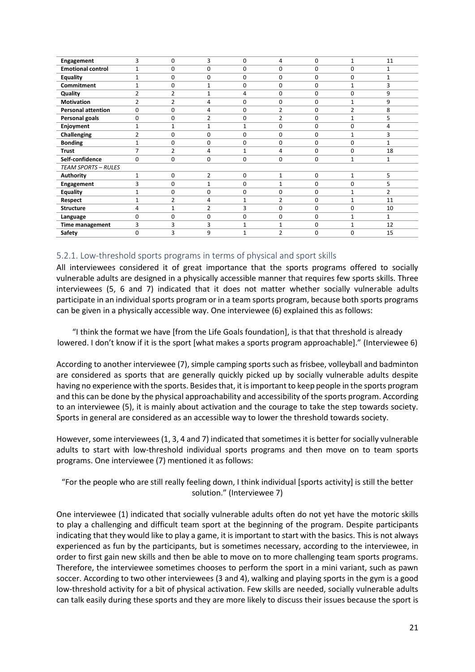| Engagement                 | 3              | 0              | 3              | 0            | 4              | 0           | 1            | 11           |
|----------------------------|----------------|----------------|----------------|--------------|----------------|-------------|--------------|--------------|
| <b>Emotional control</b>   | $\mathbf{1}$   | 0              | 0              | $\Omega$     | $\mathbf 0$    | $\Omega$    | 0            | 1            |
| <b>Equality</b>            | 1              | 0              | 0              | 0            | 0              | 0           | 0            | $\mathbf{1}$ |
| Commitment                 | $\mathbf{1}$   | 0              | 1              | 0            | 0              | 0           | 1            | 3            |
| Quality                    | $\overline{2}$ | $\overline{2}$ | 1              | 4            | 0              | 0           | 0            | 9            |
| <b>Motivation</b>          | $\overline{2}$ | $\overline{2}$ | 4              | 0            | 0              | 0           | 1            | 9            |
| <b>Personal attention</b>  | $\Omega$       | 0              | 4              | 0            | $\overline{2}$ | 0           | 2            | 8            |
| Personal goals             | 0              | 0              | $\overline{2}$ | 0            | 2              | 0           |              | 5            |
| Enjoyment                  | $\mathbf{1}$   | $\mathbf{1}$   | 1              | $\mathbf{1}$ | 0              | $\Omega$    | 0            | 4            |
| Challenging                | $\overline{2}$ | $\mathbf 0$    | 0              | 0            | $\mathbf 0$    | 0           |              | 3            |
| <b>Bonding</b>             | 1              | $\mathbf 0$    | 0              | 0            | 0              | 0           | 0            | $\mathbf{1}$ |
| <b>Trust</b>               | 7              | $\overline{2}$ | 4              | $\mathbf{1}$ | 4              | 0           | 0            | 18           |
| Self-confidence            | $\Omega$       | 0              | 0              | $\Omega$     | 0              | 0           | 1            | $\mathbf{1}$ |
| <b>TEAM SPORTS - RULES</b> |                |                |                |              |                |             |              |              |
| Authority                  | $\mathbf{1}$   | 0              | $\overline{2}$ | 0            | $\mathbf{1}$   | $\mathbf 0$ | $\mathbf{1}$ | 5            |
| Engagement                 | 3              | 0              | 1              | $\Omega$     | 1              | $\Omega$    | 0            | 5            |
| <b>Equality</b>            | 1              | $\mathbf 0$    | 0              | 0            | 0              | 0           | $\mathbf{1}$ | 2            |
| Respect                    | $\mathbf{1}$   | $\overline{2}$ | 4              |              | $\overline{2}$ | 0           | 1            | 11           |
| <b>Structure</b>           | 4              | $\mathbf{1}$   | $\overline{2}$ | 3            | 0              | 0           | 0            | 10           |
| Language                   | $\Omega$       | $\mathbf 0$    | 0              | 0            | 0              | 0           | 1            | $\mathbf{1}$ |
| <b>Time management</b>     | 3              | 3              | 3              |              | 1              | 0           |              | 12           |
| Safety                     | $\Omega$       | 3              | 9              |              | $\overline{2}$ | $\Omega$    | 0            | 15           |

#### <span id="page-21-0"></span>5.2.1. Low-threshold sports programs in terms of physical and sport skills

All interviewees considered it of great importance that the sports programs offered to socially vulnerable adults are designed in a physically accessible manner that requires few sports skills. Three interviewees (5, 6 and 7) indicated that it does not matter whether socially vulnerable adults participate in an individual sports program or in a team sports program, because both sports programs can be given in a physically accessible way. One interviewee (6) explained this as follows:

"I think the format we have [from the Life Goals foundation], is that that threshold is already lowered. I don't know if it is the sport [what makes a sports program approachable]." (Interviewee 6)

According to another interviewee (7), simple camping sports such as frisbee, volleyball and badminton are considered as sports that are generally quickly picked up by socially vulnerable adults despite having no experience with the sports. Besides that, it is important to keep people in the sports program and this can be done by the physical approachability and accessibility of the sports program. According to an interviewee (5), it is mainly about activation and the courage to take the step towards society. Sports in general are considered as an accessible way to lower the threshold towards society.

However, some interviewees (1, 3, 4 and 7) indicated that sometimes it is better for socially vulnerable adults to start with low-threshold individual sports programs and then move on to team sports programs. One interviewee (7) mentioned it as follows:

"For the people who are still really feeling down, I think individual [sports activity] is still the better solution." (Interviewee 7)

One interviewee (1) indicated that socially vulnerable adults often do not yet have the motoric skills to play a challenging and difficult team sport at the beginning of the program. Despite participants indicating that they would like to play a game, it is important to start with the basics. This is not always experienced as fun by the participants, but is sometimes necessary, according to the interviewee, in order to first gain new skills and then be able to move on to more challenging team sports programs. Therefore, the interviewee sometimes chooses to perform the sport in a mini variant, such as pawn soccer. According to two other interviewees (3 and 4), walking and playing sports in the gym is a good low-threshold activity for a bit of physical activation. Few skills are needed, socially vulnerable adults can talk easily during these sports and they are more likely to discuss their issues because the sport is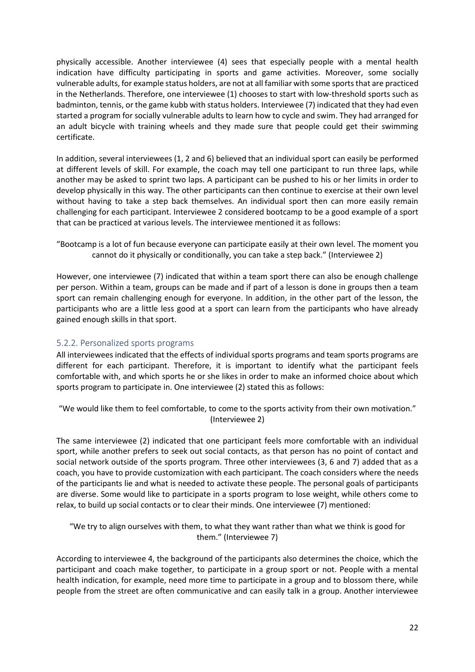physically accessible. Another interviewee (4) sees that especially people with a mental health indication have difficulty participating in sports and game activities. Moreover, some socially vulnerable adults, for example status holders, are not at all familiar with some sports that are practiced in the Netherlands. Therefore, one interviewee (1) chooses to start with low-threshold sports such as badminton, tennis, or the game kubb with status holders. Interviewee (7) indicated that they had even started a program for socially vulnerable adults to learn how to cycle and swim. They had arranged for an adult bicycle with training wheels and they made sure that people could get their swimming certificate.

In addition, several interviewees (1, 2 and 6) believed that an individual sport can easily be performed at different levels of skill. For example, the coach may tell one participant to run three laps, while another may be asked to sprint two laps. A participant can be pushed to his or her limits in order to develop physically in this way. The other participants can then continue to exercise at their own level without having to take a step back themselves. An individual sport then can more easily remain challenging for each participant. Interviewee 2 considered bootcamp to be a good example of a sport that can be practiced at various levels. The interviewee mentioned it as follows:

"Bootcamp is a lot of fun because everyone can participate easily at their own level. The moment you cannot do it physically or conditionally, you can take a step back." (Interviewee 2)

However, one interviewee (7) indicated that within a team sport there can also be enough challenge per person. Within a team, groups can be made and if part of a lesson is done in groups then a team sport can remain challenging enough for everyone. In addition, in the other part of the lesson, the participants who are a little less good at a sport can learn from the participants who have already gained enough skills in that sport.

#### <span id="page-22-0"></span>5.2.2. Personalized sports programs

All interviewees indicated that the effects of individual sports programs and team sports programs are different for each participant. Therefore, it is important to identify what the participant feels comfortable with, and which sports he or she likes in order to make an informed choice about which sports program to participate in. One interviewee (2) stated this as follows:

"We would like them to feel comfortable, to come to the sports activity from their own motivation." (Interviewee 2)

The same interviewee (2) indicated that one participant feels more comfortable with an individual sport, while another prefers to seek out social contacts, as that person has no point of contact and social network outside of the sports program. Three other interviewees (3, 6 and 7) added that as a coach, you have to provide customization with each participant. The coach considers where the needs of the participants lie and what is needed to activate these people. The personal goals of participants are diverse. Some would like to participate in a sports program to lose weight, while others come to relax, to build up social contacts or to clear their minds. One interviewee (7) mentioned:

"We try to align ourselves with them, to what they want rather than what we think is good for them." (Interviewee 7)

According to interviewee 4, the background of the participants also determines the choice, which the participant and coach make together, to participate in a group sport or not. People with a mental health indication, for example, need more time to participate in a group and to blossom there, while people from the street are often communicative and can easily talk in a group. Another interviewee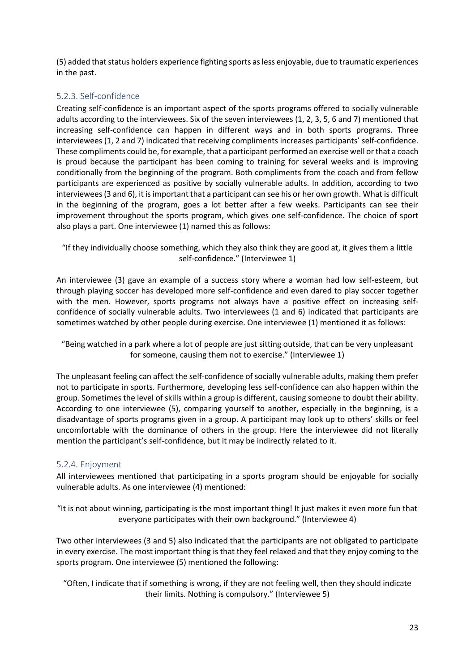(5) added that status holders experience fighting sports as less enjoyable, due to traumatic experiences in the past.

#### <span id="page-23-0"></span>5.2.3. Self-confidence

Creating self-confidence is an important aspect of the sports programs offered to socially vulnerable adults according to the interviewees. Six of the seven interviewees (1, 2, 3, 5, 6 and 7) mentioned that increasing self-confidence can happen in different ways and in both sports programs. Three interviewees (1, 2 and 7) indicated that receiving compliments increases participants' self-confidence. These compliments could be, for example, that a participant performed an exercise well or that a coach is proud because the participant has been coming to training for several weeks and is improving conditionally from the beginning of the program. Both compliments from the coach and from fellow participants are experienced as positive by socially vulnerable adults. In addition, according to two interviewees (3 and 6), it is important that a participant can see his or her own growth. What is difficult in the beginning of the program, goes a lot better after a few weeks. Participants can see their improvement throughout the sports program, which gives one self-confidence. The choice of sport also plays a part. One interviewee (1) named this as follows:

"If they individually choose something, which they also think they are good at, it gives them a little self-confidence." (Interviewee 1)

An interviewee (3) gave an example of a success story where a woman had low self-esteem, but through playing soccer has developed more self-confidence and even dared to play soccer together with the men. However, sports programs not always have a positive effect on increasing selfconfidence of socially vulnerable adults. Two interviewees (1 and 6) indicated that participants are sometimes watched by other people during exercise. One interviewee (1) mentioned it as follows:

"Being watched in a park where a lot of people are just sitting outside, that can be very unpleasant for someone, causing them not to exercise." (Interviewee 1)

The unpleasant feeling can affect the self-confidence of socially vulnerable adults, making them prefer not to participate in sports. Furthermore, developing less self-confidence can also happen within the group. Sometimes the level of skills within a group is different, causing someone to doubt their ability. According to one interviewee (5), comparing yourself to another, especially in the beginning, is a disadvantage of sports programs given in a group. A participant may look up to others' skills or feel uncomfortable with the dominance of others in the group. Here the interviewee did not literally mention the participant's self-confidence, but it may be indirectly related to it.

#### <span id="page-23-1"></span>5.2.4. Enjoyment

All interviewees mentioned that participating in a sports program should be enjoyable for socially vulnerable adults. As one interviewee (4) mentioned:

"It is not about winning, participating is the most important thing! It just makes it even more fun that everyone participates with their own background." (Interviewee 4)

Two other interviewees (3 and 5) also indicated that the participants are not obligated to participate in every exercise. The most important thing is that they feel relaxed and that they enjoy coming to the sports program. One interviewee (5) mentioned the following:

"Often, I indicate that if something is wrong, if they are not feeling well, then they should indicate their limits. Nothing is compulsory." (Interviewee 5)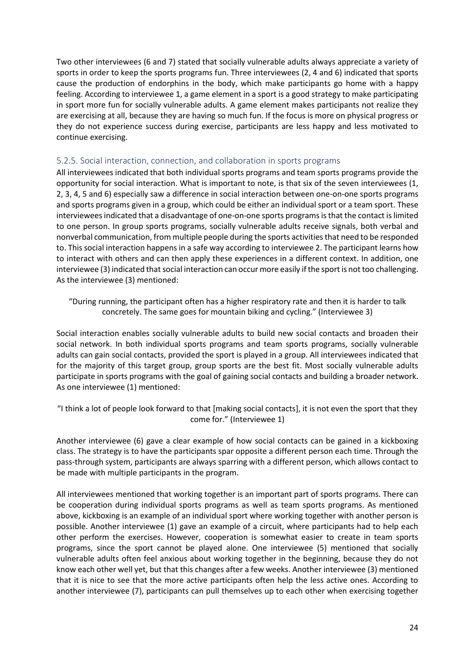Two other interviewees (6 and 7) stated that socially vulnerable adults always appreciate a variety of sports in order to keep the sports programs fun. Three interviewees (2, 4 and 6) indicated that sports cause the production of endorphins in the body, which make participants go home with a happy feeling. According to interviewee 1, a game element in a sport is a good strategy to make participating in sport more fun for socially vulnerable adults. A game element makes participants not realize they are exercising at all, because they are having so much fun. If the focus is more on physical progress or they do not experience success during exercise, participants are less happy and less motivated to continue exercising.

#### <span id="page-24-0"></span>5.2.5. Social interaction, connection, and collaboration in sports programs

All interviewees indicated that both individual sports programs and team sports programs provide the opportunity for social interaction. What is important to note, is that six of the seven interviewees (1, 2, 3, 4, 5 and 6) especially saw a difference in social interaction between one-on-one sports programs and sports programs given in a group, which could be either an individual sport or a team sport. These interviewees indicated that a disadvantage of one-on-one sports programs is that the contact is limited to one person. In group sports programs, socially vulnerable adults receive signals, both verbal and nonverbal communication, from multiple people during the sports activities that need to be responded to. This social interaction happens in a safe way according to interviewee 2. The participant learns how to interact with others and can then apply these experiences in a different context. In addition, one interviewee (3) indicated that social interaction can occur more easily if the sport is not too challenging. As the interviewee (3) mentioned:

"During running, the participant often has a higher respiratory rate and then it is harder to talk concretely. The same goes for mountain biking and cycling." (Interviewee 3)

Social interaction enables socially vulnerable adults to build new social contacts and broaden their social network. In both individual sports programs and team sports programs, socially vulnerable adults can gain social contacts, provided the sport is played in a group. All interviewees indicated that for the majority of this target group, group sports are the best fit. Most socially vulnerable adults participate in sports programs with the goal of gaining social contacts and building a broader network. As one interviewee (1) mentioned:

"I think a lot of people look forward to that [making social contacts], it is not even the sport that they come for." (Interviewee 1)

Another interviewee (6) gave a clear example of how social contacts can be gained in a kickboxing class. The strategy is to have the participants spar opposite a different person each time. Through the pass-through system, participants are always sparring with a different person, which allows contact to be made with multiple participants in the program.

All interviewees mentioned that working together is an important part of sports programs. There can be cooperation during individual sports programs as well as team sports programs. As mentioned above, kickboxing is an example of an individual sport where working together with another person is possible. Another interviewee (1) gave an example of a circuit, where participants had to help each other perform the exercises. However, cooperation is somewhat easier to create in team sports programs, since the sport cannot be played alone. One interviewee (5) mentioned that socially vulnerable adults often feel anxious about working together in the beginning, because they do not know each other well yet, but that this changes after a few weeks. Another interviewee (3) mentioned that it is nice to see that the more active participants often help the less active ones. According to another interviewee (7), participants can pull themselves up to each other when exercising together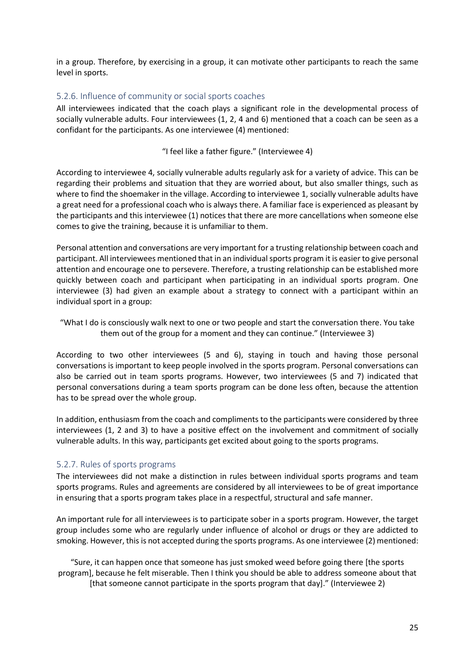in a group. Therefore, by exercising in a group, it can motivate other participants to reach the same level in sports.

#### <span id="page-25-0"></span>5.2.6. Influence of community or social sports coaches

All interviewees indicated that the coach plays a significant role in the developmental process of socially vulnerable adults. Four interviewees (1, 2, 4 and 6) mentioned that a coach can be seen as a confidant for the participants. As one interviewee (4) mentioned:

#### "I feel like a father figure." (Interviewee 4)

According to interviewee 4, socially vulnerable adults regularly ask for a variety of advice. This can be regarding their problems and situation that they are worried about, but also smaller things, such as where to find the shoemaker in the village. According to interviewee 1, socially vulnerable adults have a great need for a professional coach who is always there. A familiar face is experienced as pleasant by the participants and this interviewee (1) notices that there are more cancellations when someone else comes to give the training, because it is unfamiliar to them.

Personal attention and conversations are very important for a trusting relationship between coach and participant. All interviewees mentioned that in an individual sports program it is easier to give personal attention and encourage one to persevere. Therefore, a trusting relationship can be established more quickly between coach and participant when participating in an individual sports program. One interviewee (3) had given an example about a strategy to connect with a participant within an individual sport in a group:

"What I do is consciously walk next to one or two people and start the conversation there. You take them out of the group for a moment and they can continue." (Interviewee 3)

According to two other interviewees (5 and 6), staying in touch and having those personal conversations is important to keep people involved in the sports program. Personal conversations can also be carried out in team sports programs. However, two interviewees (5 and 7) indicated that personal conversations during a team sports program can be done less often, because the attention has to be spread over the whole group.

In addition, enthusiasm from the coach and compliments to the participants were considered by three interviewees (1, 2 and 3) to have a positive effect on the involvement and commitment of socially vulnerable adults. In this way, participants get excited about going to the sports programs.

#### <span id="page-25-1"></span>5.2.7. Rules of sports programs

The interviewees did not make a distinction in rules between individual sports programs and team sports programs. Rules and agreements are considered by all interviewees to be of great importance in ensuring that a sports program takes place in a respectful, structural and safe manner.

An important rule for all interviewees is to participate sober in a sports program. However, the target group includes some who are regularly under influence of alcohol or drugs or they are addicted to smoking. However, this is not accepted during the sports programs. As one interviewee (2) mentioned:

"Sure, it can happen once that someone has just smoked weed before going there [the sports program], because he felt miserable. Then I think you should be able to address someone about that [that someone cannot participate in the sports program that day]." (Interviewee 2)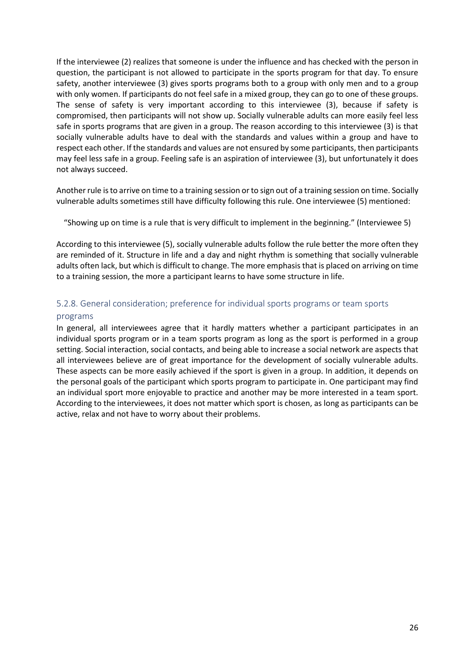If the interviewee (2) realizes that someone is under the influence and has checked with the person in question, the participant is not allowed to participate in the sports program for that day. To ensure safety, another interviewee (3) gives sports programs both to a group with only men and to a group with only women. If participants do not feel safe in a mixed group, they can go to one of these groups. The sense of safety is very important according to this interviewee (3), because if safety is compromised, then participants will not show up. Socially vulnerable adults can more easily feel less safe in sports programs that are given in a group. The reason according to this interviewee (3) is that socially vulnerable adults have to deal with the standards and values within a group and have to respect each other. If the standards and values are not ensured by some participants, then participants may feel less safe in a group. Feeling safe is an aspiration of interviewee (3), but unfortunately it does not always succeed.

Another rule is to arrive on time to a training session or to sign out of a training session on time. Socially vulnerable adults sometimes still have difficulty following this rule. One interviewee (5) mentioned:

"Showing up on time is a rule that is very difficult to implement in the beginning." (Interviewee 5)

According to this interviewee (5), socially vulnerable adults follow the rule better the more often they are reminded of it. Structure in life and a day and night rhythm is something that socially vulnerable adults often lack, but which is difficult to change. The more emphasis that is placed on arriving on time to a training session, the more a participant learns to have some structure in life.

# <span id="page-26-0"></span>5.2.8. General consideration; preference for individual sports programs or team sports

#### programs

In general, all interviewees agree that it hardly matters whether a participant participates in an individual sports program or in a team sports program as long as the sport is performed in a group setting. Social interaction, social contacts, and being able to increase a social network are aspects that all interviewees believe are of great importance for the development of socially vulnerable adults. These aspects can be more easily achieved if the sport is given in a group. In addition, it depends on the personal goals of the participant which sports program to participate in. One participant may find an individual sport more enjoyable to practice and another may be more interested in a team sport. According to the interviewees, it does not matter which sport is chosen, as long as participants can be active, relax and not have to worry about their problems.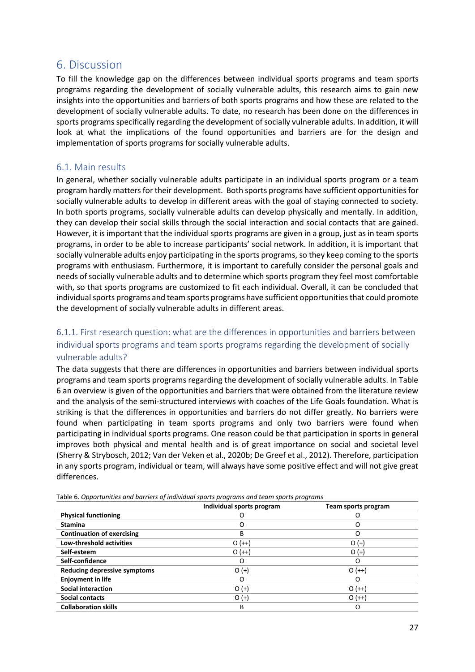### <span id="page-27-0"></span>6. Discussion

To fill the knowledge gap on the differences between individual sports programs and team sports programs regarding the development of socially vulnerable adults, this research aims to gain new insights into the opportunities and barriers of both sports programs and how these are related to the development of socially vulnerable adults. To date, no research has been done on the differences in sports programs specifically regarding the development of socially vulnerable adults. In addition, it will look at what the implications of the found opportunities and barriers are for the design and implementation of sports programs for socially vulnerable adults.

#### <span id="page-27-1"></span>6.1. Main results

In general, whether socially vulnerable adults participate in an individual sports program or a team program hardly matters for their development. Both sports programs have sufficient opportunities for socially vulnerable adults to develop in different areas with the goal of staying connected to society. In both sports programs, socially vulnerable adults can develop physically and mentally. In addition, they can develop their social skills through the social interaction and social contacts that are gained. However, it is important that the individual sports programs are given in a group, just as in team sports programs, in order to be able to increase participants' social network. In addition, it is important that socially vulnerable adults enjoy participating in the sports programs, so they keep coming to the sports programs with enthusiasm. Furthermore, it is important to carefully consider the personal goals and needs of socially vulnerable adults and to determine which sports program they feel most comfortable with, so that sports programs are customized to fit each individual. Overall, it can be concluded that individual sports programs and team sports programs have sufficient opportunities that could promote the development of socially vulnerable adults in different areas.

#### <span id="page-27-2"></span>6.1.1. First research question: what are the differences in opportunities and barriers between individual sports programs and team sports programs regarding the development of socially vulnerable adults?

The data suggests that there are differences in opportunities and barriers between individual sports programs and team sports programs regarding the development of socially vulnerable adults. In Table 6 an overview is given of the opportunities and barriers that were obtained from the literature review and the analysis of the semi-structured interviews with coaches of the Life Goals foundation. What is striking is that the differences in opportunities and barriers do not differ greatly. No barriers were found when participating in team sports programs and only two barriers were found when participating in individual sports programs. One reason could be that participation in sports in general improves both physical and mental health and is of great importance on social and societal level (Sherry & Strybosch, 2012; Van der Veken et al., 2020b; De Greef et al., 2012). Therefore, participation in any sports program, individual or team, will always have some positive effect and will not give great differences.

|                                   | Individual sports program | Team sports program |
|-----------------------------------|---------------------------|---------------------|
| <b>Physical functioning</b>       |                           |                     |
| <b>Stamina</b>                    | O                         |                     |
| <b>Continuation of exercising</b> | B                         | O                   |
| <b>Low-threshold activities</b>   | $O (++)$                  | $O(+)$              |
| Self-esteem                       | $O (++)$                  | $O (+)$             |
| Self-confidence                   | O                         | O                   |
| Reducing depressive symptoms      | $O (+)$                   | $O (++)$            |
| <b>Enjoyment in life</b>          | O                         | O                   |
| <b>Social interaction</b>         | $O (+)$                   | $O (++)$            |
| <b>Social contacts</b>            | $O (+)$                   | $O (++)$            |
| <b>Collaboration skills</b>       | B                         | O                   |

Table 6. *Opportunities and barriers of individual sports programs and team sports programs*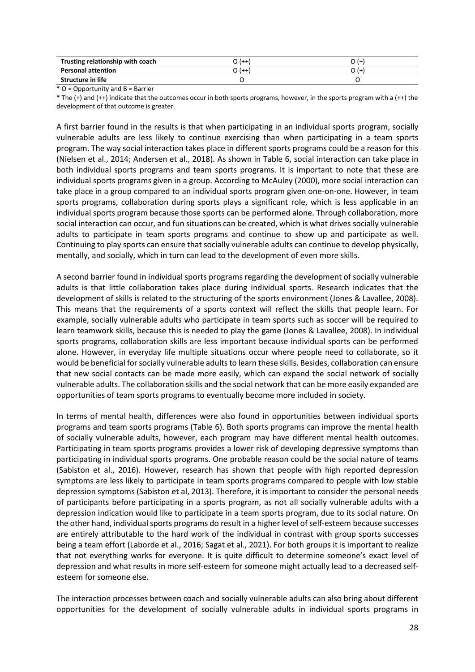| Trusting relationship with coach | 777   |  |
|----------------------------------|-------|--|
| <b>Personal attention</b>        | المسا |  |
| Structure in life                |       |  |

\* O = Opportunity and B = Barrier

\* The (+) and (++) indicate that the outcomes occur in both sports programs, however, in the sports program with a (++) the development of that outcome is greater.

A first barrier found in the results is that when participating in an individual sports program, socially vulnerable adults are less likely to continue exercising than when participating in a team sports program. The way social interaction takes place in different sports programs could be a reason for this (Nielsen et al., 2014; Andersen et al., 2018). As shown in Table 6, social interaction can take place in both individual sports programs and team sports programs. It is important to note that these are individual sports programs given in a group. According to McAuley (2000), more social interaction can take place in a group compared to an individual sports program given one-on-one. However, in team sports programs, collaboration during sports plays a significant role, which is less applicable in an individual sports program because those sports can be performed alone. Through collaboration, more social interaction can occur, and fun situations can be created, which is what drives socially vulnerable adults to participate in team sports programs and continue to show up and participate as well. Continuing to play sports can ensure that socially vulnerable adults can continue to develop physically, mentally, and socially, which in turn can lead to the development of even more skills.

A second barrier found in individual sports programs regarding the development of socially vulnerable adults is that little collaboration takes place during individual sports. Research indicates that the development of skills is related to the structuring of the sports environment (Jones & Lavallee, 2008). This means that the requirements of a sports context will reflect the skills that people learn. For example, socially vulnerable adults who participate in team sports such as soccer will be required to learn teamwork skills, because this is needed to play the game (Jones & Lavallee, 2008). In individual sports programs, collaboration skills are less important because individual sports can be performed alone. However, in everyday life multiple situations occur where people need to collaborate, so it would be beneficial forsocially vulnerable adults to learn these skills. Besides, collaboration can ensure that new social contacts can be made more easily, which can expand the social network of socially vulnerable adults. The collaboration skills and the social network that can be more easily expanded are opportunities of team sports programs to eventually become more included in society.

In terms of mental health, differences were also found in opportunities between individual sports programs and team sports programs (Table 6). Both sports programs can improve the mental health of socially vulnerable adults, however, each program may have different mental health outcomes. Participating in team sports programs provides a lower risk of developing depressive symptoms than participating in individual sports programs. One probable reason could be the social nature of teams (Sabiston et al., 2016). However, research has shown that people with high reported depression symptoms are less likely to participate in team sports programs compared to people with low stable depression symptoms (Sabiston et al, 2013). Therefore, it is important to consider the personal needs of participants before participating in a sports program, as not all socially vulnerable adults with a depression indication would like to participate in a team sports program, due to its social nature. On the other hand, individual sports programs do result in a higher level of self-esteem because successes are entirely attributable to the hard work of the individual in contrast with group sports successes being a team effort (Laborde et al., 2016; Sagat et al., 2021). For both groups it is important to realize that not everything works for everyone. It is quite difficult to determine someone's exact level of depression and what results in more self-esteem for someone might actually lead to a decreased selfesteem for someone else.

The interaction processes between coach and socially vulnerable adults can also bring about different opportunities for the development of socially vulnerable adults in individual sports programs in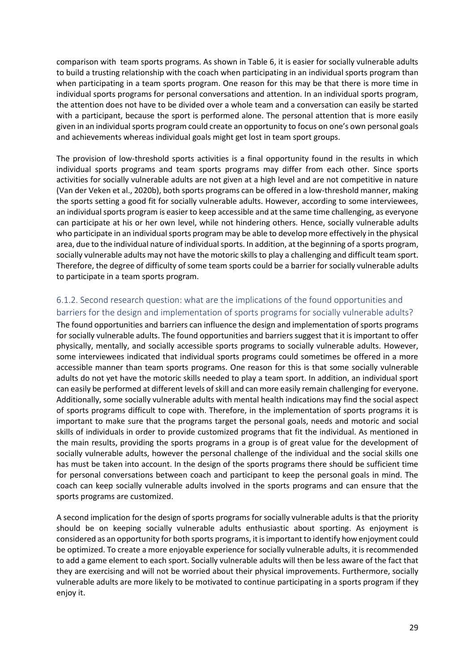comparison with team sports programs. As shown in Table 6, it is easier for socially vulnerable adults to build a trusting relationship with the coach when participating in an individual sports program than when participating in a team sports program. One reason for this may be that there is more time in individual sports programs for personal conversations and attention. In an individual sports program, the attention does not have to be divided over a whole team and a conversation can easily be started with a participant, because the sport is performed alone. The personal attention that is more easily given in an individual sports program could create an opportunity to focus on one's own personal goals and achievements whereas individual goals might get lost in team sport groups.

The provision of low-threshold sports activities is a final opportunity found in the results in which individual sports programs and team sports programs may differ from each other. Since sports activities for socially vulnerable adults are not given at a high level and are not competitive in nature (Van der Veken et al., 2020b), both sports programs can be offered in a low-threshold manner, making the sports setting a good fit for socially vulnerable adults. However, according to some interviewees, an individual sports program is easier to keep accessible and at the same time challenging, as everyone can participate at his or her own level, while not hindering others. Hence, socially vulnerable adults who participate in an individual sports program may be able to develop more effectively in the physical area, due to the individual nature of individual sports. In addition, at the beginning of a sports program, socially vulnerable adults may not have the motoric skills to play a challenging and difficult team sport. Therefore, the degree of difficulty of some team sports could be a barrier for socially vulnerable adults to participate in a team sports program.

#### <span id="page-29-0"></span>6.1.2. Second research question: what are the implications of the found opportunities and barriers for the design and implementation of sports programs for socially vulnerable adults?

The found opportunities and barriers can influence the design and implementation of sports programs for socially vulnerable adults. The found opportunities and barriers suggest that it is important to offer physically, mentally, and socially accessible sports programs to socially vulnerable adults. However, some interviewees indicated that individual sports programs could sometimes be offered in a more accessible manner than team sports programs. One reason for this is that some socially vulnerable adults do not yet have the motoric skills needed to play a team sport. In addition, an individual sport can easily be performed at different levels of skill and can more easily remain challenging for everyone. Additionally, some socially vulnerable adults with mental health indications may find the social aspect of sports programs difficult to cope with. Therefore, in the implementation of sports programs it is important to make sure that the programs target the personal goals, needs and motoric and social skills of individuals in order to provide customized programs that fit the individual. As mentioned in the main results, providing the sports programs in a group is of great value for the development of socially vulnerable adults, however the personal challenge of the individual and the social skills one has must be taken into account. In the design of the sports programs there should be sufficient time for personal conversations between coach and participant to keep the personal goals in mind. The coach can keep socially vulnerable adults involved in the sports programs and can ensure that the sports programs are customized.

A second implication for the design of sports programs for socially vulnerable adults is that the priority should be on keeping socially vulnerable adults enthusiastic about sporting. As enjoyment is considered as an opportunity for both sports programs, it is important to identify how enjoyment could be optimized. To create a more enjoyable experience for socially vulnerable adults, it is recommended to add a game element to each sport. Socially vulnerable adults will then be less aware of the fact that they are exercising and will not be worried about their physical improvements. Furthermore, socially vulnerable adults are more likely to be motivated to continue participating in a sports program if they enjoy it.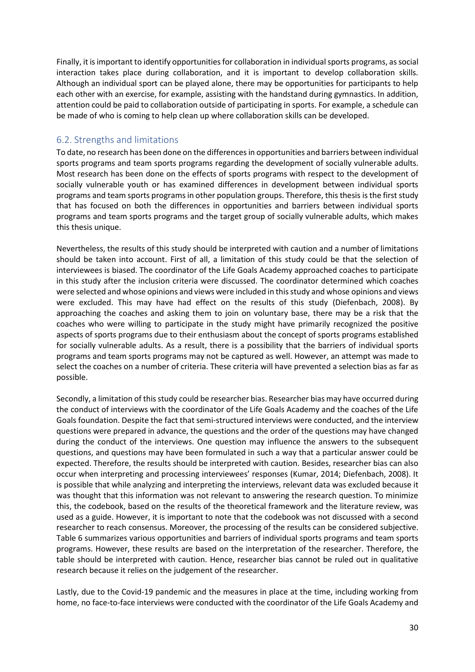Finally, it is important to identify opportunities for collaboration in individual sports programs, as social interaction takes place during collaboration, and it is important to develop collaboration skills. Although an individual sport can be played alone, there may be opportunities for participants to help each other with an exercise, for example, assisting with the handstand during gymnastics. In addition, attention could be paid to collaboration outside of participating in sports. For example, a schedule can be made of who is coming to help clean up where collaboration skills can be developed.

#### <span id="page-30-0"></span>6.2. Strengths and limitations

To date, no research has been done on the differences in opportunities and barriers between individual sports programs and team sports programs regarding the development of socially vulnerable adults. Most research has been done on the effects of sports programs with respect to the development of socially vulnerable youth or has examined differences in development between individual sports programs and team sports programs in other population groups. Therefore, this thesis is the first study that has focused on both the differences in opportunities and barriers between individual sports programs and team sports programs and the target group of socially vulnerable adults, which makes this thesis unique.

Nevertheless, the results of this study should be interpreted with caution and a number of limitations should be taken into account. First of all, a limitation of this study could be that the selection of interviewees is biased. The coordinator of the Life Goals Academy approached coaches to participate in this study after the inclusion criteria were discussed. The coordinator determined which coaches were selected and whose opinions and views were included in this study and whose opinions and views were excluded. This may have had effect on the results of this study (Diefenbach, 2008). By approaching the coaches and asking them to join on voluntary base, there may be a risk that the coaches who were willing to participate in the study might have primarily recognized the positive aspects of sports programs due to their enthusiasm about the concept of sports programs established for socially vulnerable adults. As a result, there is a possibility that the barriers of individual sports programs and team sports programs may not be captured as well. However, an attempt was made to select the coaches on a number of criteria. These criteria will have prevented a selection bias as far as possible.

Secondly, a limitation of this study could be researcher bias. Researcher bias may have occurred during the conduct of interviews with the coordinator of the Life Goals Academy and the coaches of the Life Goals foundation. Despite the fact that semi-structured interviews were conducted, and the interview questions were prepared in advance, the questions and the order of the questions may have changed during the conduct of the interviews. One question may influence the answers to the subsequent questions, and questions may have been formulated in such a way that a particular answer could be expected. Therefore, the results should be interpreted with caution. Besides, researcher bias can also occur when interpreting and processing interviewees' responses (Kumar, 2014; Diefenbach, 2008). It is possible that while analyzing and interpreting the interviews, relevant data was excluded because it was thought that this information was not relevant to answering the research question. To minimize this, the codebook, based on the results of the theoretical framework and the literature review, was used as a guide. However, it is important to note that the codebook was not discussed with a second researcher to reach consensus. Moreover, the processing of the results can be considered subjective. Table 6 summarizes various opportunities and barriers of individual sports programs and team sports programs. However, these results are based on the interpretation of the researcher. Therefore, the table should be interpreted with caution. Hence, researcher bias cannot be ruled out in qualitative research because it relies on the judgement of the researcher.

Lastly, due to the Covid-19 pandemic and the measures in place at the time, including working from home, no face-to-face interviews were conducted with the coordinator of the Life Goals Academy and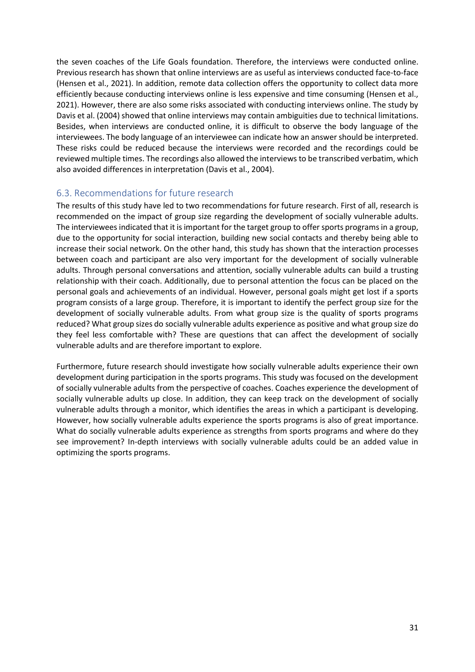the seven coaches of the Life Goals foundation. Therefore, the interviews were conducted online. Previous research has shown that online interviews are as useful as interviews conducted face-to-face (Hensen et al., 2021). In addition, remote data collection offers the opportunity to collect data more efficiently because conducting interviews online is less expensive and time consuming (Hensen et al., 2021). However, there are also some risks associated with conducting interviews online. The study by Davis et al. (2004) showed that online interviews may contain ambiguities due to technical limitations. Besides, when interviews are conducted online, it is difficult to observe the body language of the interviewees. The body language of an interviewee can indicate how an answer should be interpreted. These risks could be reduced because the interviews were recorded and the recordings could be reviewed multiple times. The recordings also allowed the interviews to be transcribed verbatim, which also avoided differences in interpretation (Davis et al., 2004).

#### <span id="page-31-0"></span>6.3. Recommendations for future research

The results of this study have led to two recommendations for future research. First of all, research is recommended on the impact of group size regarding the development of socially vulnerable adults. The interviewees indicated that it is important for the target group to offer sports programs in a group, due to the opportunity for social interaction, building new social contacts and thereby being able to increase their social network. On the other hand, this study has shown that the interaction processes between coach and participant are also very important for the development of socially vulnerable adults. Through personal conversations and attention, socially vulnerable adults can build a trusting relationship with their coach. Additionally, due to personal attention the focus can be placed on the personal goals and achievements of an individual. However, personal goals might get lost if a sports program consists of a large group. Therefore, it is important to identify the perfect group size for the development of socially vulnerable adults. From what group size is the quality of sports programs reduced? What group sizes do socially vulnerable adults experience as positive and what group size do they feel less comfortable with? These are questions that can affect the development of socially vulnerable adults and are therefore important to explore.

Furthermore, future research should investigate how socially vulnerable adults experience their own development during participation in the sports programs. This study was focused on the development of socially vulnerable adults from the perspective of coaches. Coaches experience the development of socially vulnerable adults up close. In addition, they can keep track on the development of socially vulnerable adults through a monitor, which identifies the areas in which a participant is developing. However, how socially vulnerable adults experience the sports programs is also of great importance. What do socially vulnerable adults experience as strengths from sports programs and where do they see improvement? In-depth interviews with socially vulnerable adults could be an added value in optimizing the sports programs.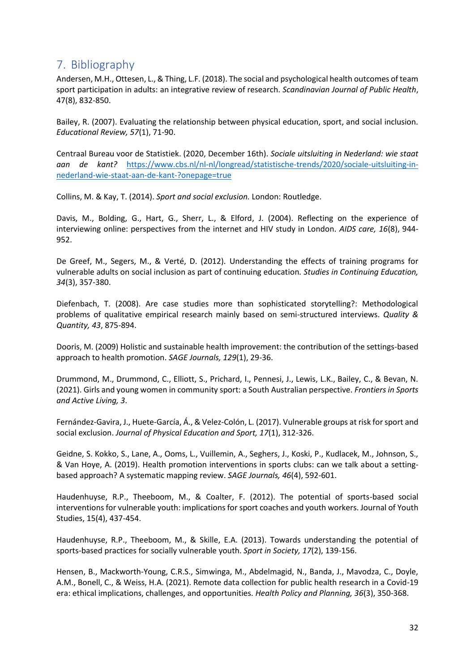## <span id="page-32-0"></span>7. Bibliography

Andersen, M.H., Ottesen, L., & Thing, L.F. (2018). The social and psychological health outcomes of team sport participation in adults: an integrative review of research. *Scandinavian Journal of Public Health*, 47(8), 832-850.

Bailey, R. (2007). Evaluating the relationship between physical education, sport, and social inclusion. *Educational Review, 57*(1), 71-90.

Centraal Bureau voor de Statistiek. (2020, December 16th). *Sociale uitsluiting in Nederland: wie staat aan de kant?* [https://www.cbs.nl/nl-nl/longread/statistische-trends/2020/sociale-uitsluiting-in](https://www.cbs.nl/nl-nl/longread/statistische-trends/2020/sociale-uitsluiting-in-nederland-wie-staat-aan-de-kant-?onepage=true)[nederland-wie-staat-aan-de-kant-?onepage=true](https://www.cbs.nl/nl-nl/longread/statistische-trends/2020/sociale-uitsluiting-in-nederland-wie-staat-aan-de-kant-?onepage=true)

Collins, M. & Kay, T. (2014). *Sport and social exclusion.* London: Routledge.

Davis, M., Bolding, G., Hart, G., Sherr, L., & Elford, J. (2004). Reflecting on the experience of interviewing online: perspectives from the internet and HIV study in London. *AIDS care, 16*(8), 944- 952.

De Greef, M., Segers, M., & Verté, D. (2012). Understanding the effects of training programs for vulnerable adults on social inclusion as part of continuing education*. Studies in Continuing Education, 34*(3), 357-380.

Diefenbach, T. (2008). Are case studies more than sophisticated storytelling?: Methodological problems of qualitative empirical research mainly based on semi-structured interviews. *Quality & Quantity, 43*, 875-894.

Dooris, M. (2009) Holistic and sustainable health improvement: the contribution of the settings-based approach to health promotion. *SAGE Journals, 129*(1), 29-36.

Drummond, M., Drummond, C., Elliott, S., Prichard, I., Pennesi, J., Lewis, L.K., Bailey, C., & Bevan, N. (2021). Girls and young women in community sport: a South Australian perspective. *Frontiers in Sports and Active Living, 3*.

Fernández-Gavira, J., Huete-García, Á., & Velez-Colón, L. (2017). Vulnerable groups at risk for sport and social exclusion. *Journal of Physical Education and Sport, 17*(1), 312-326.

Geidne, S. Kokko, S., Lane, A., Ooms, L., Vuillemin, A., Seghers, J., Koski, P., Kudlacek, M., Johnson, S., & Van Hoye, A. (2019). Health promotion interventions in sports clubs: can we talk about a settingbased approach? A systematic mapping review. *SAGE Journals, 46*(4), 592-601.

Haudenhuyse, R.P., Theeboom, M., & Coalter, F. (2012). The potential of sports-based social interventions for vulnerable youth: implications for sport coaches and youth workers. Journal of Youth Studies, 15(4), 437-454.

Haudenhuyse, R.P., Theeboom, M., & Skille, E.A. (2013). Towards understanding the potential of sports-based practices for socially vulnerable youth. *Sport in Society, 17*(2), 139-156.

Hensen, B., Mackworth-Young, C.R.S., Simwinga, M., Abdelmagid, N., Banda, J., Mavodza, C., Doyle, A.M., Bonell, C., & Weiss, H.A. (2021). Remote data collection for public health research in a Covid-19 era: ethical implications, challenges, and opportunities. *Health Policy and Planning, 36*(3), 350-368.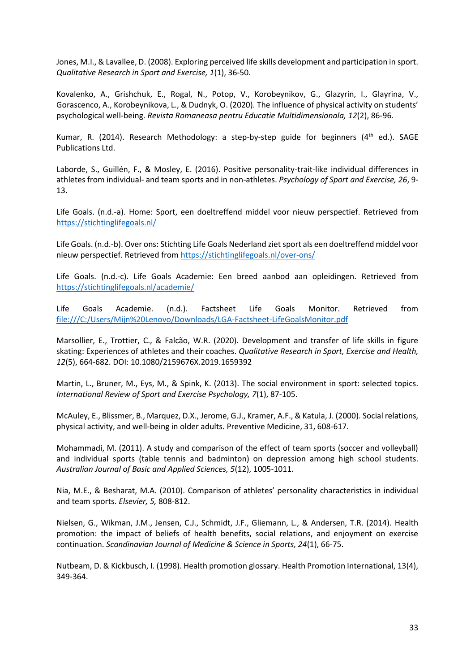Jones, M.I., & Lavallee, D. (2008). Exploring perceived life skills development and participation in sport. *Qualitative Research in Sport and Exercise, 1*(1), 36-50.

Kovalenko, A., Grishchuk, E., Rogal, N., Potop, V., Korobeynikov, G., Glazyrin, I., Glayrina, V., Gorascenco, A., Korobeynikova, L., & Dudnyk, O. (2020). The influence of physical activity on students' psychological well-being. *Revista Romaneasa pentru Educatie Multidimensionala, 12*(2), 86-96.

Kumar, R. (2014). Research Methodology: a step-by-step guide for beginners ( $4<sup>th</sup>$  ed.). SAGE Publications Ltd.

Laborde, S., Guillén, F., & Mosley, E. (2016). Positive personality-trait-like individual differences in athletes from individual- and team sports and in non-athletes. *Psychology of Sport and Exercise, 26*, 9- 13.

Life Goals. (n.d.-a). Home: Sport, een doeltreffend middel voor nieuw perspectief. Retrieved from <https://stichtinglifegoals.nl/>

Life Goals. (n.d.-b). Over ons: Stichting Life Goals Nederland ziet sport als een doeltreffend middel voor nieuw perspectief. Retrieved from<https://stichtinglifegoals.nl/over-ons/>

Life Goals. (n.d.-c). Life Goals Academie: Een breed aanbod aan opleidingen. Retrieved from <https://stichtinglifegoals.nl/academie/>

Life Goals Academie. (n.d.). Factsheet Life Goals Monitor. Retrieved from <file:///C:/Users/Mijn%20Lenovo/Downloads/LGA-Factsheet-LifeGoalsMonitor.pdf>

Marsollier, E., Trottier, C., & Falcão, W.R. (2020). Development and transfer of life skills in figure skating: Experiences of athletes and their coaches. *Qualitative Research in Sport, Exercise and Health, 12*(5), 664-682. DOI: 10.1080/2159676X.2019.1659392

Martin, L., Bruner, M., Eys, M., & Spink, K. (2013). The social environment in sport: selected topics. *International Review of Sport and Exercise Psychology, 7*(1), 87-105.

McAuley, E., Blissmer, B., Marquez, D.X., Jerome, G.J., Kramer, A.F., & Katula, J. (2000). Social relations, physical activity, and well-being in older adults. Preventive Medicine, 31, 608-617.

Mohammadi, M. (2011). A study and comparison of the effect of team sports (soccer and volleyball) and individual sports (table tennis and badminton) on depression among high school students. *Australian Journal of Basic and Applied Sciences, 5*(12), 1005-1011.

Nia, M.E., & Besharat, M.A. (2010). Comparison of athletes' personality characteristics in individual and team sports. *Elsevier, 5,* 808-812.

Nielsen, G., Wikman, J.M., Jensen, C.J., Schmidt, J.F., Gliemann, L., & Andersen, T.R. (2014). Health promotion: the impact of beliefs of health benefits, social relations, and enjoyment on exercise continuation. *Scandinavian Journal of Medicine & Science in Sports, 24*(1), 66-75.

Nutbeam, D. & Kickbusch, I. (1998). Health promotion glossary. Health Promotion International, 13(4), 349-364.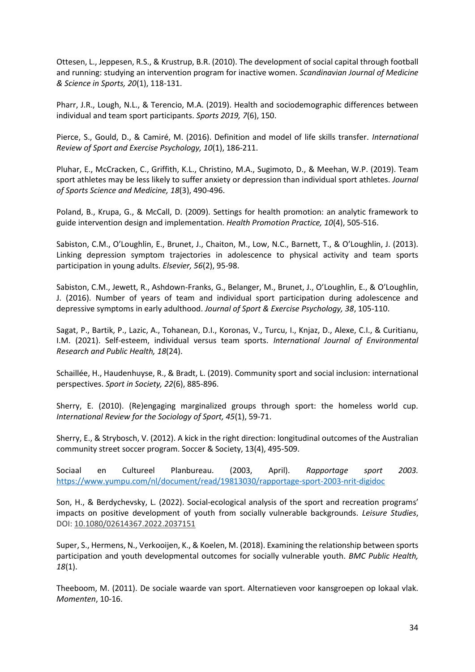Ottesen, L., Jeppesen, R.S., & Krustrup, B.R. (2010). The development of social capital through football and running: studying an intervention program for inactive women. *Scandinavian Journal of Medicine & Science in Sports, 20*(1), 118-131.

Pharr, J.R., Lough, N.L., & Terencio, M.A. (2019). Health and sociodemographic differences between individual and team sport participants. *Sports 2019, 7*(6), 150.

Pierce, S., Gould, D., & Camiré, M. (2016). Definition and model of life skills transfer. *International Review of Sport and Exercise Psychology, 10*(1), 186-211.

Pluhar, E., McCracken, C., Griffith, K.L., Christino, M.A., Sugimoto, D., & Meehan, W.P. (2019). Team sport athletes may be less likely to suffer anxiety or depression than individual sport athletes. *Journal of Sports Science and Medicine, 18*(3), 490-496.

Poland, B., Krupa, G., & McCall, D. (2009). Settings for health promotion: an analytic framework to guide intervention design and implementation. *Health Promotion Practice, 10*(4), 505-516.

Sabiston, C.M., O'Loughlin, E., Brunet, J., Chaiton, M., Low, N.C., Barnett, T., & O'Loughlin, J. (2013). Linking depression symptom trajectories in adolescence to physical activity and team sports participation in young adults. *Elsevier, 56*(2), 95-98.

Sabiston, C.M., Jewett, R., Ashdown-Franks, G., Belanger, M., Brunet, J., O'Loughlin, E., & O'Loughlin, J. (2016). Number of years of team and individual sport participation during adolescence and depressive symptoms in early adulthood. *Journal of Sport & Exercise Psychology, 38*, 105-110.

Sagat, P., Bartik, P., Lazic, A., Tohanean, D.I., Koronas, V., Turcu, I., Knjaz, D., Alexe, C.I., & Curitianu, I.M. (2021). Self-esteem, individual versus team sports. *International Journal of Environmental Research and Public Health, 18*(24).

Schaillée, H., Haudenhuyse, R., & Bradt, L. (2019). Community sport and social inclusion: international perspectives. *Sport in Society, 22*(6), 885-896.

Sherry, E. (2010). (Re)engaging marginalized groups through sport: the homeless world cup. *International Review for the Sociology of Sport, 45*(1), 59-71.

Sherry, E., & Strybosch, V. (2012). A kick in the right direction: longitudinal outcomes of the Australian community street soccer program. Soccer & Society, 13(4), 495-509.

Sociaal en Cultureel Planbureau. (2003, April). *Rapportage sport 2003.* <https://www.yumpu.com/nl/document/read/19813030/rapportage-sport-2003-nrit-digidoc>

Son, H., & Berdychevsky, L. (2022). Social-ecological analysis of the sport and recreation programs' impacts on positive development of youth from socially vulnerable backgrounds. *Leisure Studies*, DOI: [10.1080/02614367.2022.2037151](https://doi.org/10.1080/02614367.2022.2037151)

Super, S., Hermens, N., Verkooijen, K., & Koelen, M. (2018). Examining the relationship between sports participation and youth developmental outcomes for socially vulnerable youth. *BMC Public Health, 18*(1).

Theeboom, M. (2011). De sociale waarde van sport. Alternatieven voor kansgroepen op lokaal vlak. *Momenten*, 10-16.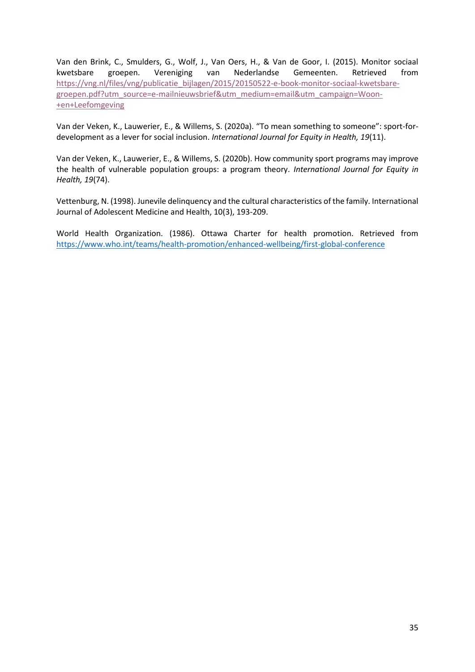Van den Brink, C., Smulders, G., Wolf, J., Van Oers, H., & Van de Goor, I. (2015). Monitor sociaal kwetsbare groepen. Vereniging van Nederlandse Gemeenten. Retrieved from [https://vng.nl/files/vng/publicatie\\_bijlagen/2015/20150522-e-book-monitor-sociaal-kwetsbare](https://vng.nl/files/vng/publicatie_bijlagen/2015/20150522-e-book-monitor-sociaal-kwetsbare-groepen.pdf?utm_source=e-mailnieuwsbrief&utm_medium=email&utm_campaign=Woon-+en+Leefomgeving)[groepen.pdf?utm\\_source=e-mailnieuwsbrief&utm\\_medium=email&utm\\_campaign=Woon-](https://vng.nl/files/vng/publicatie_bijlagen/2015/20150522-e-book-monitor-sociaal-kwetsbare-groepen.pdf?utm_source=e-mailnieuwsbrief&utm_medium=email&utm_campaign=Woon-+en+Leefomgeving) [+en+Leefomgeving](https://vng.nl/files/vng/publicatie_bijlagen/2015/20150522-e-book-monitor-sociaal-kwetsbare-groepen.pdf?utm_source=e-mailnieuwsbrief&utm_medium=email&utm_campaign=Woon-+en+Leefomgeving)

Van der Veken, K., Lauwerier, E., & Willems, S. (2020a). "To mean something to someone": sport-fordevelopment as a lever for social inclusion. *International Journal for Equity in Health, 19*(11).

Van der Veken, K., Lauwerier, E., & Willems, S. (2020b). How community sport programs may improve the health of vulnerable population groups: a program theory. *International Journal for Equity in Health, 19*(74).

Vettenburg, N. (1998). Junevile delinquency and the cultural characteristics of the family. International Journal of Adolescent Medicine and Health, 10(3), 193-209.

World Health Organization. (1986). Ottawa Charter for health promotion. Retrieved from <https://www.who.int/teams/health-promotion/enhanced-wellbeing/first-global-conference>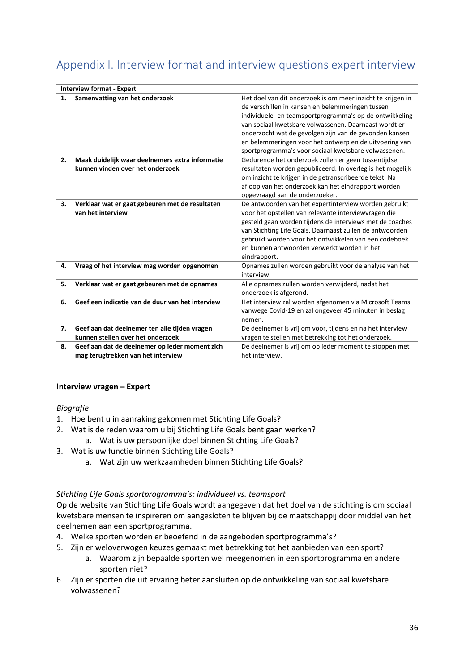# <span id="page-36-0"></span>Appendix I. Interview format and interview questions expert interview

| <b>Interview format - Expert</b> |                                                                                      |                                                                                                                                                                                                                                                                                                                                                                                                                 |  |
|----------------------------------|--------------------------------------------------------------------------------------|-----------------------------------------------------------------------------------------------------------------------------------------------------------------------------------------------------------------------------------------------------------------------------------------------------------------------------------------------------------------------------------------------------------------|--|
| 1.                               | Samenvatting van het onderzoek                                                       | Het doel van dit onderzoek is om meer inzicht te krijgen in<br>de verschillen in kansen en belemmeringen tussen<br>individuele- en teamsportprogramma's op de ontwikkeling<br>van sociaal kwetsbare volwassenen. Daarnaast wordt er<br>onderzocht wat de gevolgen zijn van de gevonden kansen<br>en belemmeringen voor het ontwerp en de uitvoering van<br>sportprogramma's voor sociaal kwetsbare volwassenen. |  |
| 2.                               | Maak duidelijk waar deelnemers extra informatie<br>kunnen vinden over het onderzoek  | Gedurende het onderzoek zullen er geen tussentijdse<br>resultaten worden gepubliceerd. In overleg is het mogelijk<br>om inzicht te krijgen in de getranscribeerde tekst. Na<br>afloop van het onderzoek kan het eindrapport worden<br>opgevraagd aan de onderzoeker.                                                                                                                                            |  |
| 3.                               | Verklaar wat er gaat gebeuren met de resultaten<br>van het interview                 | De antwoorden van het expertinterview worden gebruikt<br>voor het opstellen van relevante interviewvragen die<br>gesteld gaan worden tijdens de interviews met de coaches<br>van Stichting Life Goals. Daarnaast zullen de antwoorden<br>gebruikt worden voor het ontwikkelen van een codeboek<br>en kunnen antwoorden verwerkt worden in het<br>eindrapport.                                                   |  |
| 4.                               | Vraag of het interview mag worden opgenomen                                          | Opnames zullen worden gebruikt voor de analyse van het<br>interview.                                                                                                                                                                                                                                                                                                                                            |  |
| 5.                               | Verklaar wat er gaat gebeuren met de opnames                                         | Alle opnames zullen worden verwijderd, nadat het<br>onderzoek is afgerond.                                                                                                                                                                                                                                                                                                                                      |  |
| 6.                               | Geef een indicatie van de duur van het interview                                     | Het interview zal worden afgenomen via Microsoft Teams<br>vanwege Covid-19 en zal ongeveer 45 minuten in beslag<br>nemen.                                                                                                                                                                                                                                                                                       |  |
| 7.                               | Geef aan dat deelnemer ten alle tijden vragen<br>kunnen stellen over het onderzoek   | De deelnemer is vrij om voor, tijdens en na het interview<br>vragen te stellen met betrekking tot het onderzoek.                                                                                                                                                                                                                                                                                                |  |
| 8.                               | Geef aan dat de deelnemer op ieder moment zich<br>mag terugtrekken van het interview | De deelnemer is vrij om op ieder moment te stoppen met<br>het interview.                                                                                                                                                                                                                                                                                                                                        |  |

#### **Interview vragen – Expert**

#### *Biografie*

- 1. Hoe bent u in aanraking gekomen met Stichting Life Goals?
- 2. Wat is de reden waarom u bij Stichting Life Goals bent gaan werken?
	- a. Wat is uw persoonlijke doel binnen Stichting Life Goals?
- 3. Wat is uw functie binnen Stichting Life Goals?
	- a. Wat zijn uw werkzaamheden binnen Stichting Life Goals?

#### *Stichting Life Goals sportprogramma's: individueel vs. teamsport*

Op de website van Stichting Life Goals wordt aangegeven dat het doel van de stichting is om sociaal kwetsbare mensen te inspireren om aangesloten te blijven bij de maatschappij door middel van het deelnemen aan een sportprogramma.

- 4. Welke sporten worden er beoefend in de aangeboden sportprogramma's?
- 5. Zijn er weloverwogen keuzes gemaakt met betrekking tot het aanbieden van een sport?
	- a. Waarom zijn bepaalde sporten wel meegenomen in een sportprogramma en andere sporten niet?
- 6. Zijn er sporten die uit ervaring beter aansluiten op de ontwikkeling van sociaal kwetsbare volwassenen?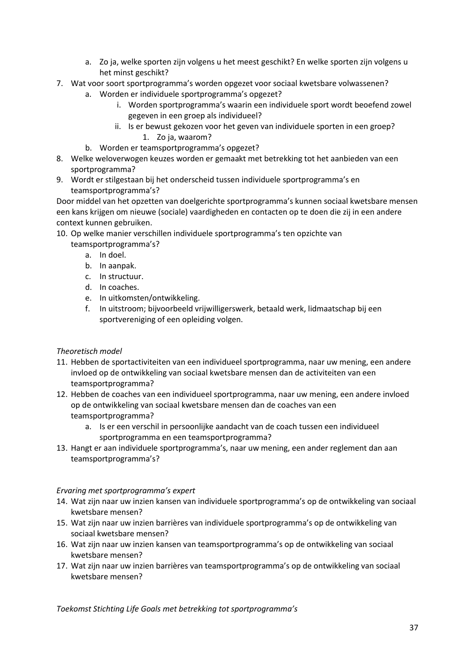- a. Zo ja, welke sporten zijn volgens u het meest geschikt? En welke sporten zijn volgens u het minst geschikt?
- 7. Wat voor soort sportprogramma's worden opgezet voor sociaal kwetsbare volwassenen?
	- a. Worden er individuele sportprogramma's opgezet?
		- i. Worden sportprogramma's waarin een individuele sport wordt beoefend zowel gegeven in een groep als individueel?
		- ii. Is er bewust gekozen voor het geven van individuele sporten in een groep? 1. Zo ja, waarom?
	- b. Worden er teamsportprogramma's opgezet?
- 8. Welke weloverwogen keuzes worden er gemaakt met betrekking tot het aanbieden van een sportprogramma?
- 9. Wordt er stilgestaan bij het onderscheid tussen individuele sportprogramma's en teamsportprogramma's?

Door middel van het opzetten van doelgerichte sportprogramma's kunnen sociaal kwetsbare mensen een kans krijgen om nieuwe (sociale) vaardigheden en contacten op te doen die zij in een andere context kunnen gebruiken.

- 10. Op welke manier verschillen individuele sportprogramma's ten opzichte van teamsportprogramma's?
	- a. In doel.
	- b. In aanpak.
	- c. In structuur.
	- d. In coaches.
	- e. In uitkomsten/ontwikkeling.
	- f. In uitstroom; bijvoorbeeld vrijwilligerswerk, betaald werk, lidmaatschap bij een sportvereniging of een opleiding volgen.

#### *Theoretisch model*

- 11. Hebben de sportactiviteiten van een individueel sportprogramma, naar uw mening, een andere invloed op de ontwikkeling van sociaal kwetsbare mensen dan de activiteiten van een teamsportprogramma?
- 12. Hebben de coaches van een individueel sportprogramma, naar uw mening, een andere invloed op de ontwikkeling van sociaal kwetsbare mensen dan de coaches van een teamsportprogramma?
	- a. Is er een verschil in persoonlijke aandacht van de coach tussen een individueel sportprogramma en een teamsportprogramma?
- 13. Hangt er aan individuele sportprogramma's, naar uw mening, een ander reglement dan aan teamsportprogramma's?

#### *Ervaring met sportprogramma's expert*

- 14. Wat zijn naar uw inzien kansen van individuele sportprogramma's op de ontwikkeling van sociaal kwetsbare mensen?
- 15. Wat zijn naar uw inzien barrières van individuele sportprogramma's op de ontwikkeling van sociaal kwetsbare mensen?
- 16. Wat zijn naar uw inzien kansen van teamsportprogramma's op de ontwikkeling van sociaal kwetsbare mensen?
- 17. Wat zijn naar uw inzien barrières van teamsportprogramma's op de ontwikkeling van sociaal kwetsbare mensen?

*Toekomst Stichting Life Goals met betrekking tot sportprogramma's*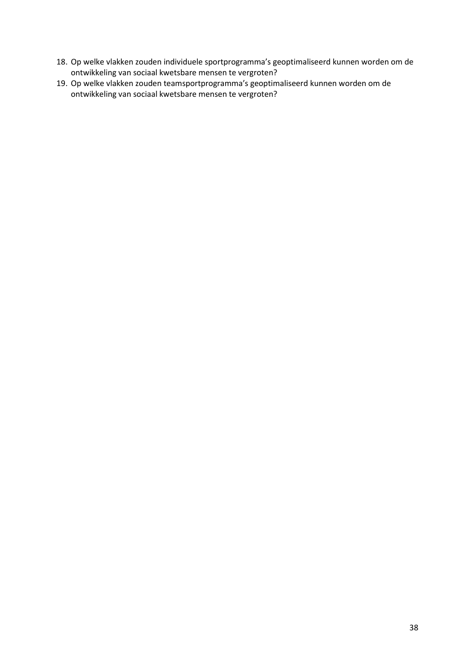- 18. Op welke vlakken zouden individuele sportprogramma's geoptimaliseerd kunnen worden om de ontwikkeling van sociaal kwetsbare mensen te vergroten?
- 19. Op welke vlakken zouden teamsportprogramma's geoptimaliseerd kunnen worden om de ontwikkeling van sociaal kwetsbare mensen te vergroten?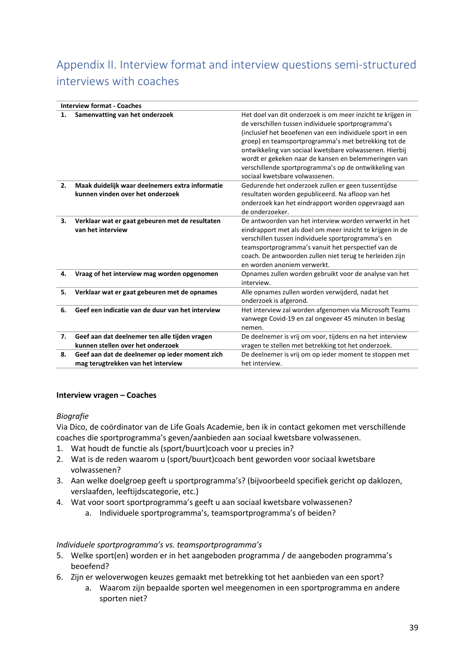# <span id="page-39-0"></span>Appendix II. Interview format and interview questions semi-structured interviews with coaches

|    | <b>Interview format - Coaches</b>                                                    |                                                                                                                                                                                                                                                                                                                                                                                                                                                      |  |  |
|----|--------------------------------------------------------------------------------------|------------------------------------------------------------------------------------------------------------------------------------------------------------------------------------------------------------------------------------------------------------------------------------------------------------------------------------------------------------------------------------------------------------------------------------------------------|--|--|
| 1. | Samenvatting van het onderzoek                                                       | Het doel van dit onderzoek is om meer inzicht te krijgen in<br>de verschillen tussen individuele sportprogramma's<br>(inclusief het beoefenen van een individuele sport in een<br>groep) en teamsportprogramma's met betrekking tot de<br>ontwikkeling van sociaal kwetsbare volwassenen. Hierbij<br>wordt er gekeken naar de kansen en belemmeringen van<br>verschillende sportprogramma's op de ontwikkeling van<br>sociaal kwetsbare volwassenen. |  |  |
| 2. | Maak duidelijk waar deelnemers extra informatie<br>kunnen vinden over het onderzoek  | Gedurende het onderzoek zullen er geen tussentijdse<br>resultaten worden gepubliceerd. Na afloop van het<br>onderzoek kan het eindrapport worden opgevraagd aan<br>de onderzoeker.                                                                                                                                                                                                                                                                   |  |  |
| 3. | Verklaar wat er gaat gebeuren met de resultaten<br>van het interview                 | De antwoorden van het interview worden verwerkt in het<br>eindrapport met als doel om meer inzicht te krijgen in de<br>verschillen tussen individuele sportprogramma's en<br>teamsportprogramma's vanuit het perspectief van de<br>coach. De antwoorden zullen niet terug te herleiden zijn<br>en worden anoniem verwerkt.                                                                                                                           |  |  |
| 4. | Vraag of het interview mag worden opgenomen                                          | Opnames zullen worden gebruikt voor de analyse van het<br>interview.                                                                                                                                                                                                                                                                                                                                                                                 |  |  |
| 5. | Verklaar wat er gaat gebeuren met de opnames                                         | Alle opnames zullen worden verwijderd, nadat het<br>onderzoek is afgerond.                                                                                                                                                                                                                                                                                                                                                                           |  |  |
| 6. | Geef een indicatie van de duur van het interview                                     | Het interview zal worden afgenomen via Microsoft Teams<br>vanwege Covid-19 en zal ongeveer 45 minuten in beslag<br>nemen.                                                                                                                                                                                                                                                                                                                            |  |  |
| 7. | Geef aan dat deelnemer ten alle tijden vragen<br>kunnen stellen over het onderzoek   | De deelnemer is vrij om voor, tijdens en na het interview<br>vragen te stellen met betrekking tot het onderzoek.                                                                                                                                                                                                                                                                                                                                     |  |  |
| 8. | Geef aan dat de deelnemer op ieder moment zich<br>mag terugtrekken van het interview | De deelnemer is vrij om op ieder moment te stoppen met<br>het interview.                                                                                                                                                                                                                                                                                                                                                                             |  |  |
|    |                                                                                      |                                                                                                                                                                                                                                                                                                                                                                                                                                                      |  |  |

#### **Interview vragen – Coaches**

#### *Biografie*

Via Dico, de coördinator van de Life Goals Academie, ben ik in contact gekomen met verschillende coaches die sportprogramma's geven/aanbieden aan sociaal kwetsbare volwassenen.

- 1. Wat houdt de functie als (sport/buurt)coach voor u precies in?
- 2. Wat is de reden waarom u (sport/buurt)coach bent geworden voor sociaal kwetsbare volwassenen?
- 3. Aan welke doelgroep geeft u sportprogramma's? (bijvoorbeeld specifiek gericht op daklozen, verslaafden, leeftijdscategorie, etc.)
- 4. Wat voor soort sportprogramma's geeft u aan sociaal kwetsbare volwassenen?
	- a. Individuele sportprogramma's, teamsportprogramma's of beiden?

#### *Individuele sportprogramma's vs. teamsportprogramma's*

- 5. Welke sport(en) worden er in het aangeboden programma / de aangeboden programma's beoefend?
- 6. Zijn er weloverwogen keuzes gemaakt met betrekking tot het aanbieden van een sport?
	- a. Waarom zijn bepaalde sporten wel meegenomen in een sportprogramma en andere sporten niet?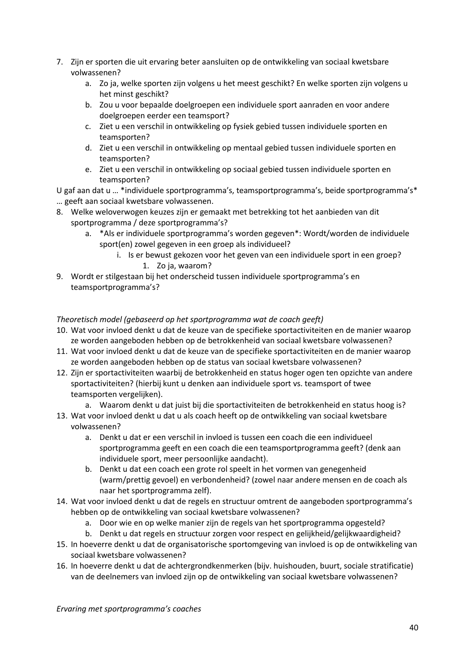- 7. Zijn er sporten die uit ervaring beter aansluiten op de ontwikkeling van sociaal kwetsbare volwassenen?
	- a. Zo ja, welke sporten zijn volgens u het meest geschikt? En welke sporten zijn volgens u het minst geschikt?
	- b. Zou u voor bepaalde doelgroepen een individuele sport aanraden en voor andere doelgroepen eerder een teamsport?
	- c. Ziet u een verschil in ontwikkeling op fysiek gebied tussen individuele sporten en teamsporten?
	- d. Ziet u een verschil in ontwikkeling op mentaal gebied tussen individuele sporten en teamsporten?
	- e. Ziet u een verschil in ontwikkeling op sociaal gebied tussen individuele sporten en teamsporten?

U gaf aan dat u … \*individuele sportprogramma's, teamsportprogramma's, beide sportprogramma's\* … geeft aan sociaal kwetsbare volwassenen.

- 8. Welke weloverwogen keuzes zijn er gemaakt met betrekking tot het aanbieden van dit sportprogramma / deze sportprogramma's?
	- a. \*Als er individuele sportprogramma's worden gegeven\*: Wordt/worden de individuele sport(en) zowel gegeven in een groep als individueel?
		- i. Is er bewust gekozen voor het geven van een individuele sport in een groep? 1. Zo ja, waarom?
- 9. Wordt er stilgestaan bij het onderscheid tussen individuele sportprogramma's en teamsportprogramma's?

#### *Theoretisch model (gebaseerd op het sportprogramma wat de coach geeft)*

- 10. Wat voor invloed denkt u dat de keuze van de specifieke sportactiviteiten en de manier waarop ze worden aangeboden hebben op de betrokkenheid van sociaal kwetsbare volwassenen?
- 11. Wat voor invloed denkt u dat de keuze van de specifieke sportactiviteiten en de manier waarop ze worden aangeboden hebben op de status van sociaal kwetsbare volwassenen?
- 12. Zijn er sportactiviteiten waarbij de betrokkenheid en status hoger ogen ten opzichte van andere sportactiviteiten? (hierbij kunt u denken aan individuele sport vs. teamsport of twee teamsporten vergelijken).
	- a. Waarom denkt u dat juist bij die sportactiviteiten de betrokkenheid en status hoog is?
- 13. Wat voor invloed denkt u dat u als coach heeft op de ontwikkeling van sociaal kwetsbare volwassenen?
	- a. Denkt u dat er een verschil in invloed is tussen een coach die een individueel sportprogramma geeft en een coach die een teamsportprogramma geeft? (denk aan individuele sport, meer persoonlijke aandacht).
	- b. Denkt u dat een coach een grote rol speelt in het vormen van genegenheid (warm/prettig gevoel) en verbondenheid? (zowel naar andere mensen en de coach als naar het sportprogramma zelf).
- 14. Wat voor invloed denkt u dat de regels en structuur omtrent de aangeboden sportprogramma's hebben op de ontwikkeling van sociaal kwetsbare volwassenen?
	- a. Door wie en op welke manier zijn de regels van het sportprogramma opgesteld?
	- b. Denkt u dat regels en structuur zorgen voor respect en gelijkheid/gelijkwaardigheid?
- 15. In hoeverre denkt u dat de organisatorische sportomgeving van invloed is op de ontwikkeling van sociaal kwetsbare volwassenen?
- 16. In hoeverre denkt u dat de achtergrondkenmerken (bijv. huishouden, buurt, sociale stratificatie) van de deelnemers van invloed zijn op de ontwikkeling van sociaal kwetsbare volwassenen?